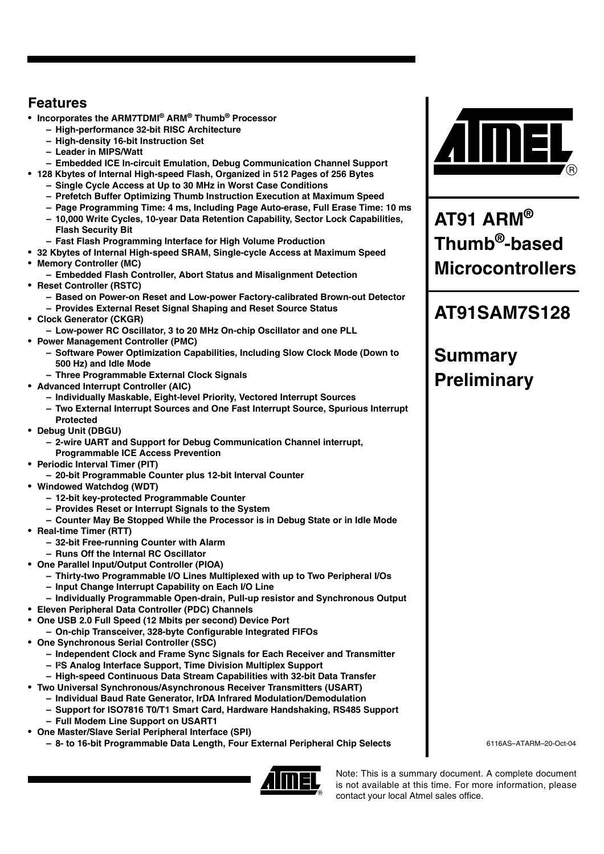### **Features**

- **Incorporates the ARM7TDMI® ARM® Thumb® Processor**
	- **High-performance 32-bit RISC Architecture**
	- **High-density 16-bit Instruction Set**
	- **Leader in MIPS/Watt**
	- **Embedded ICE In-circuit Emulation, Debug Communication Channel Support**
- **128 Kbytes of Internal High-speed Flash, Organized in 512 Pages of 256 Bytes**
	- **Single Cycle Access at Up to 30 MHz in Worst Case Conditions**
	- **Prefetch Buffer Optimizing Thumb Instruction Execution at Maximum Speed**
	- **Page Programming Time: 4 ms, Including Page Auto-erase, Full Erase Time: 10 ms**
	- **10,000 Write Cycles, 10-year Data Retention Capability, Sector Lock Capabilities, Flash Security Bit**
	- **Fast Flash Programming Interface for High Volume Production**
- **32 Kbytes of Internal High-speed SRAM, Single-cycle Access at Maximum Speed**
- **Memory Controller (MC)**
- **Embedded Flash Controller, Abort Status and Misalignment Detection**
- **Reset Controller (RSTC)**
	- **Based on Power-on Reset and Low-power Factory-calibrated Brown-out Detector**
	- **Provides External Reset Signal Shaping and Reset Source Status**
- **Clock Generator (CKGR)**
	- **Low-power RC Oscillator, 3 to 20 MHz On-chip Oscillator and one PLL**
- **Power Management Controller (PMC)**
	- **Software Power Optimization Capabilities, Including Slow Clock Mode (Down to 500 Hz) and Idle Mode**
	- **Three Programmable External Clock Signals**
- **Advanced Interrupt Controller (AIC)**
	- **Individually Maskable, Eight-level Priority, Vectored Interrupt Sources**
	- **Two External Interrupt Sources and One Fast Interrupt Source, Spurious Interrupt Protected**
- **Debug Unit (DBGU)**
	- **2-wire UART and Support for Debug Communication Channel interrupt, Programmable ICE Access Prevention**
- **Periodic Interval Timer (PIT)**
	- **20-bit Programmable Counter plus 12-bit Interval Counter**
- **Windowed Watchdog (WDT)**
	- **12-bit key-protected Programmable Counter**
	- **Provides Reset or Interrupt Signals to the System**
	- **Counter May Be Stopped While the Processor is in Debug State or in Idle Mode**
- **Real-time Timer (RTT)**
	- **32-bit Free-running Counter with Alarm**
	- **Runs Off the Internal RC Oscillator**
- **One Parallel Input/Output Controller (PIOA)** 
	- **Thirty-two Programmable I/O Lines Multiplexed with up to Two Peripheral I/Os**
	- **Input Change Interrupt Capability on Each I/O Line**
	- **Individually Programmable Open-drain, Pull-up resistor and Synchronous Output**
- **Eleven Peripheral Data Controller (PDC) Channels**
- **One USB 2.0 Full Speed (12 Mbits per second) Device Port**
- **On-chip Transceiver, 328-byte Configurable Integrated FIFOs**
- **One Synchronous Serial Controller (SSC)**
	- **Independent Clock and Frame Sync Signals for Each Receiver and Transmitter**
	- **I²S Analog Interface Support, Time Division Multiplex Support**
	- **High-speed Continuous Data Stream Capabilities with 32-bit Data Transfer**
- **Two Universal Synchronous/Asynchronous Receiver Transmitters (USART)**
	- **Individual Baud Rate Generator, IrDA Infrared Modulation/Demodulation**
	- **Support for ISO7816 T0/T1 Smart Card, Hardware Handshaking, RS485 Support**
	- **Full Modem Line Support on USART1**
- **One Master/Slave Serial Peripheral Interface (SPI)**
	- **8- to 16-bit Programmable Data Length, Four External Peripheral Chip Selects**





**AT91 ARM® Thumb®-based Microcontrollers**

## **AT91SAM7S128**

# **Summary Preliminary**

6116AS–ATARM–20-Oct-04

Note: This is a summary document. A complete document is not available at this time. For more information, please contact your local Atmel sales office.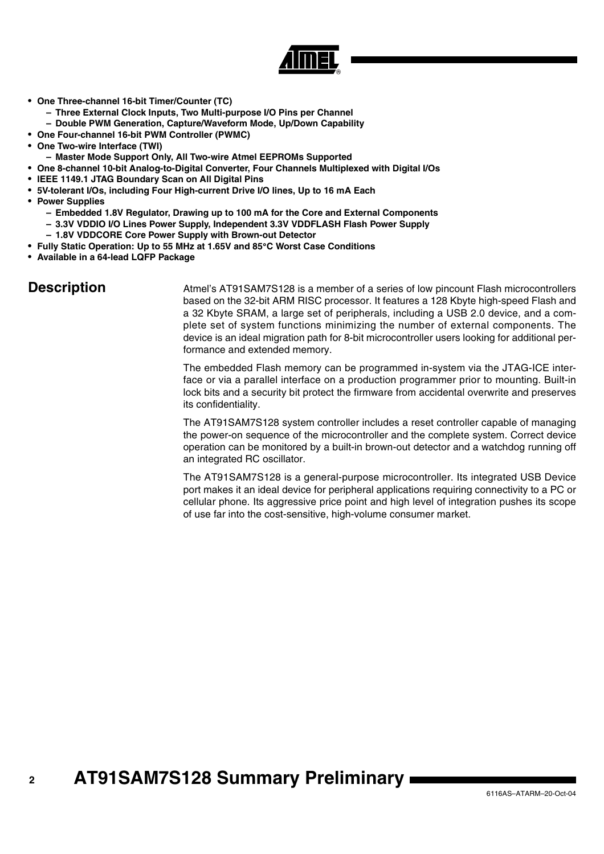

- **One Three-channel 16-bit Timer/Counter (TC)**
	- **Three External Clock Inputs, Two Multi-purpose I/O Pins per Channel**
	- **Double PWM Generation, Capture/Waveform Mode, Up/Down Capability**
- **One Four-channel 16-bit PWM Controller (PWMC)**
- **One Two-wire Interface (TWI)**
- **Master Mode Support Only, All Two-wire Atmel EEPROMs Supported**
- **One 8-channel 10-bit Analog-to-Digital Converter, Four Channels Multiplexed with Digital I/Os**
- **IEEE 1149.1 JTAG Boundary Scan on All Digital Pins**
- **5V-tolerant I/Os, including Four High-current Drive I/O lines, Up to 16 mA Each**
- **Power Supplies**
	- **Embedded 1.8V Regulator, Drawing up to 100 mA for the Core and External Components**
	- **3.3V VDDIO I/O Lines Power Supply, Independent 3.3V VDDFLASH Flash Power Supply**
	- **1.8V VDDCORE Core Power Supply with Brown-out Detector**
- **Fully Static Operation: Up to 55 MHz at 1.65V and 85**°**C Worst Case Conditions**
- **Available in a 64-lead LQFP Package**

**Description** Atmel's AT91SAM7S128 is a member of a series of low pincount Flash microcontrollers based on the 32-bit ARM RISC processor. It features a 128 Kbyte high-speed Flash and a 32 Kbyte SRAM, a large set of peripherals, including a USB 2.0 device, and a complete set of system functions minimizing the number of external components. The device is an ideal migration path for 8-bit microcontroller users looking for additional performance and extended memory.

> The embedded Flash memory can be programmed in-system via the JTAG-ICE interface or via a parallel interface on a production programmer prior to mounting. Built-in lock bits and a security bit protect the firmware from accidental overwrite and preserves its confidentiality.

> The AT91SAM7S128 system controller includes a reset controller capable of managing the power-on sequence of the microcontroller and the complete system. Correct device operation can be monitored by a built-in brown-out detector and a watchdog running off an integrated RC oscillator.

> The AT91SAM7S128 is a general-purpose microcontroller. Its integrated USB Device port makes it an ideal device for peripheral applications requiring connectivity to a PC or cellular phone. Its aggressive price point and high level of integration pushes its scope of use far into the cost-sensitive, high-volume consumer market.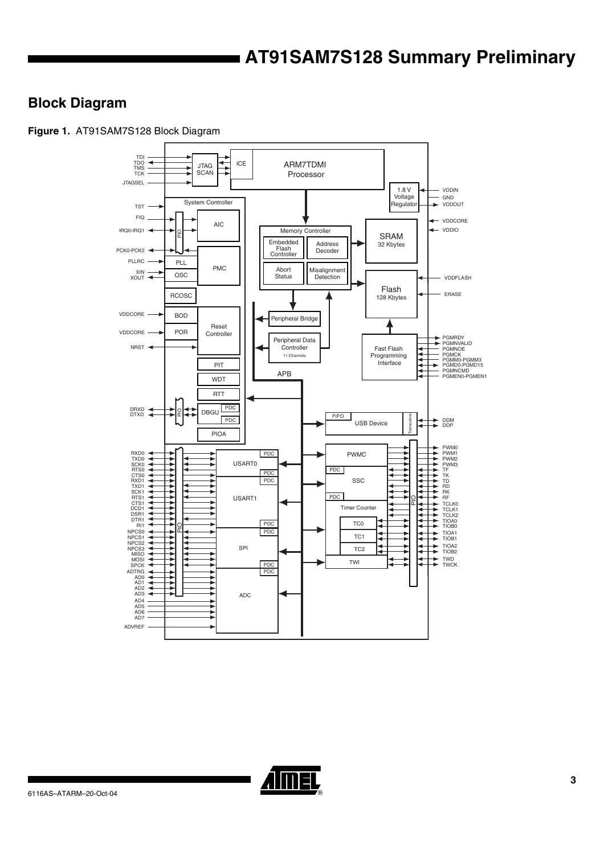### **Block Diagram**

**Figure 1.** AT91SAM7S128 Block Diagram



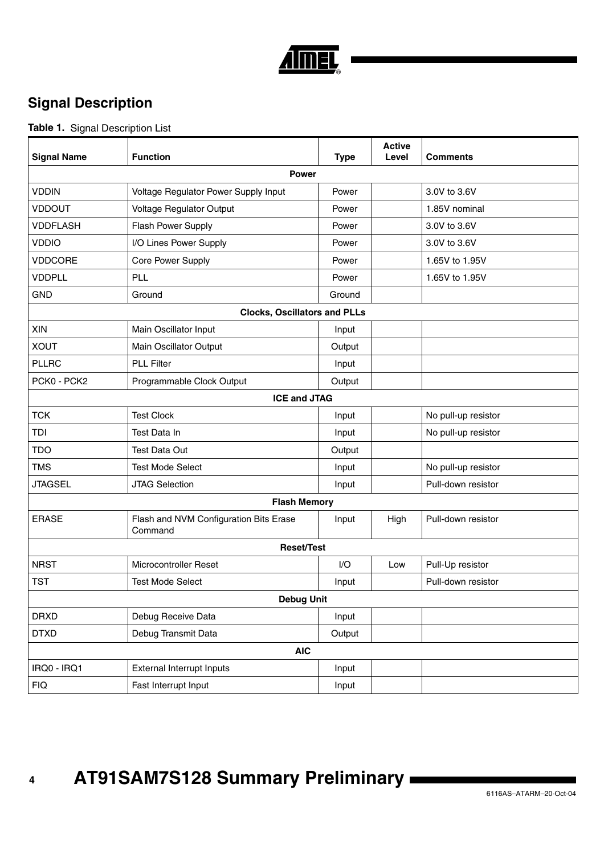

## **Signal Description**

### **Table 1.** Signal Description List

| <b>Signal Name</b>  | <b>Function</b>                                   | <b>Type</b> | <b>Active</b><br>Level | <b>Comments</b>     |  |  |  |  |
|---------------------|---------------------------------------------------|-------------|------------------------|---------------------|--|--|--|--|
| <b>Power</b>        |                                                   |             |                        |                     |  |  |  |  |
| <b>VDDIN</b>        | Voltage Regulator Power Supply Input              | Power       |                        | 3.0V to 3.6V        |  |  |  |  |
| <b>VDDOUT</b>       | Voltage Regulator Output                          | Power       |                        | 1.85V nominal       |  |  |  |  |
| <b>VDDFLASH</b>     | Flash Power Supply                                | Power       |                        | 3.0V to 3.6V        |  |  |  |  |
| <b>VDDIO</b>        | I/O Lines Power Supply                            | Power       |                        | 3.0V to 3.6V        |  |  |  |  |
| <b>VDDCORE</b>      | Core Power Supply                                 | Power       |                        | 1.65V to 1.95V      |  |  |  |  |
| <b>VDDPLL</b>       | PLL                                               | Power       |                        | 1.65V to 1.95V      |  |  |  |  |
| <b>GND</b>          | Ground                                            | Ground      |                        |                     |  |  |  |  |
|                     | <b>Clocks, Oscillators and PLLs</b>               |             |                        |                     |  |  |  |  |
| XIN                 | Main Oscillator Input                             | Input       |                        |                     |  |  |  |  |
| <b>XOUT</b>         | Main Oscillator Output                            | Output      |                        |                     |  |  |  |  |
| <b>PLLRC</b>        | <b>PLL Filter</b>                                 | Input       |                        |                     |  |  |  |  |
| PCK0 - PCK2         | Programmable Clock Output                         | Output      |                        |                     |  |  |  |  |
| <b>ICE and JTAG</b> |                                                   |             |                        |                     |  |  |  |  |
| <b>TCK</b>          | <b>Test Clock</b>                                 | Input       |                        | No pull-up resistor |  |  |  |  |
| TDI                 | Test Data In                                      | Input       |                        | No pull-up resistor |  |  |  |  |
| <b>TDO</b>          | Test Data Out                                     | Output      |                        |                     |  |  |  |  |
| <b>TMS</b>          | <b>Test Mode Select</b>                           | Input       |                        | No pull-up resistor |  |  |  |  |
| <b>JTAGSEL</b>      | <b>JTAG Selection</b>                             | Input       |                        | Pull-down resistor  |  |  |  |  |
|                     | <b>Flash Memory</b>                               |             |                        |                     |  |  |  |  |
| <b>ERASE</b>        | Flash and NVM Configuration Bits Erase<br>Command | Input       | High                   | Pull-down resistor  |  |  |  |  |
|                     | <b>Reset/Test</b>                                 |             |                        |                     |  |  |  |  |
| <b>NRST</b>         | Microcontroller Reset                             | I/O         | Low                    | Pull-Up resistor    |  |  |  |  |
| <b>TST</b>          | <b>Test Mode Select</b>                           | Input       |                        | Pull-down resistor  |  |  |  |  |
|                     | <b>Debug Unit</b>                                 |             |                        |                     |  |  |  |  |
| <b>DRXD</b>         | Debug Receive Data                                | Input       |                        |                     |  |  |  |  |
| <b>DTXD</b>         | Debug Transmit Data                               | Output      |                        |                     |  |  |  |  |
|                     | <b>AIC</b>                                        |             |                        |                     |  |  |  |  |
| IRQ0 - IRQ1         | External Interrupt Inputs                         | Input       |                        |                     |  |  |  |  |
| <b>FIQ</b>          | Fast Interrupt Input                              | Input       |                        |                     |  |  |  |  |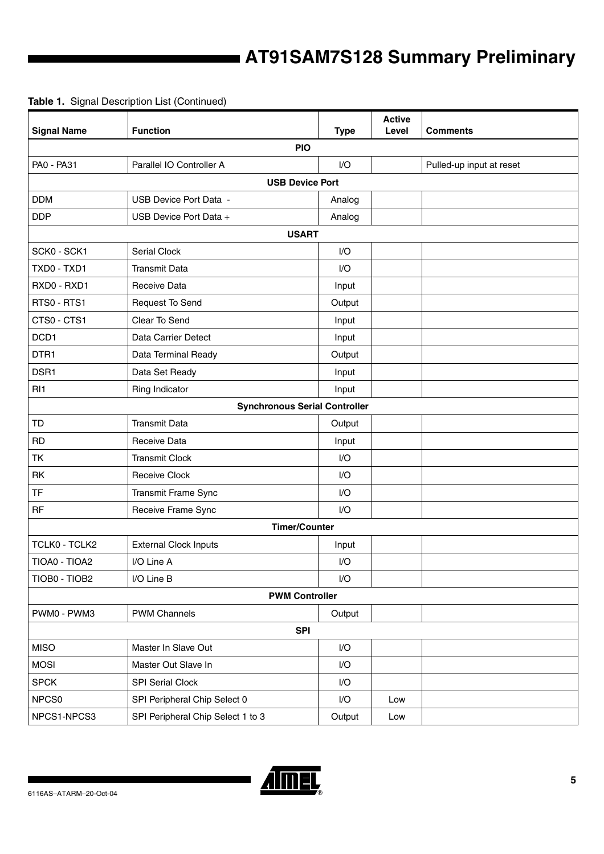| <b>Signal Name</b>                   | <b>Function</b>                   | <b>Type</b>             | <b>Active</b><br>Level | Comments                 |  |  |  |  |  |  |
|--------------------------------------|-----------------------------------|-------------------------|------------------------|--------------------------|--|--|--|--|--|--|
| <b>PIO</b>                           |                                   |                         |                        |                          |  |  |  |  |  |  |
| PA0 - PA31                           | Parallel IO Controller A          | I/O                     |                        | Pulled-up input at reset |  |  |  |  |  |  |
| <b>USB Device Port</b>               |                                   |                         |                        |                          |  |  |  |  |  |  |
| <b>DDM</b>                           | USB Device Port Data -            | Analog                  |                        |                          |  |  |  |  |  |  |
| <b>DDP</b>                           | USB Device Port Data +            | Analog                  |                        |                          |  |  |  |  |  |  |
| <b>USART</b>                         |                                   |                         |                        |                          |  |  |  |  |  |  |
| SCK0 - SCK1                          | <b>Serial Clock</b>               | I/O                     |                        |                          |  |  |  |  |  |  |
| TXD0 - TXD1                          | <b>Transmit Data</b>              | I/O                     |                        |                          |  |  |  |  |  |  |
| RXD0 - RXD1                          | Receive Data                      | Input                   |                        |                          |  |  |  |  |  |  |
| RTS0 - RTS1                          | Request To Send                   | Output                  |                        |                          |  |  |  |  |  |  |
| CTS0 - CTS1                          | Clear To Send                     | Input                   |                        |                          |  |  |  |  |  |  |
| DCD1                                 | Data Carrier Detect               | Input                   |                        |                          |  |  |  |  |  |  |
| DTR1                                 | Data Terminal Ready               | Output                  |                        |                          |  |  |  |  |  |  |
| DSR1                                 | Data Set Ready                    | Input                   |                        |                          |  |  |  |  |  |  |
| RI <sub>1</sub>                      | Ring Indicator                    | Input                   |                        |                          |  |  |  |  |  |  |
| <b>Synchronous Serial Controller</b> |                                   |                         |                        |                          |  |  |  |  |  |  |
| <b>TD</b>                            | <b>Transmit Data</b>              | Output                  |                        |                          |  |  |  |  |  |  |
| <b>RD</b>                            | Receive Data                      | Input                   |                        |                          |  |  |  |  |  |  |
| <b>TK</b>                            | <b>Transmit Clock</b>             | I/O                     |                        |                          |  |  |  |  |  |  |
| RK                                   | <b>Receive Clock</b>              | I/O                     |                        |                          |  |  |  |  |  |  |
| <b>TF</b>                            | Transmit Frame Sync               |                         |                        |                          |  |  |  |  |  |  |
| <b>RF</b>                            | Receive Frame Sync                |                         |                        |                          |  |  |  |  |  |  |
|                                      | <b>Timer/Counter</b>              |                         |                        |                          |  |  |  |  |  |  |
| TCLK0 - TCLK2                        | <b>External Clock Inputs</b>      | Input                   |                        |                          |  |  |  |  |  |  |
| TIOA0 - TIOA2                        | I/O Line A                        | I/O                     |                        |                          |  |  |  |  |  |  |
| TIOB0 - TIOB2                        | I/O Line B                        | I/O                     |                        |                          |  |  |  |  |  |  |
|                                      | <b>PWM Controller</b>             |                         |                        |                          |  |  |  |  |  |  |
| PWM0 - PWM3                          | <b>PWM Channels</b>               | Output                  |                        |                          |  |  |  |  |  |  |
|                                      | <b>SPI</b>                        |                         |                        |                          |  |  |  |  |  |  |
| <b>MISO</b>                          | Master In Slave Out               | $\mathsf{I}/\mathsf{O}$ |                        |                          |  |  |  |  |  |  |
| <b>MOSI</b>                          | Master Out Slave In               | I/O                     |                        |                          |  |  |  |  |  |  |
| <b>SPCK</b>                          | SPI Serial Clock                  | I/O                     |                        |                          |  |  |  |  |  |  |
| NPCS0                                | SPI Peripheral Chip Select 0      | I/O                     | Low                    |                          |  |  |  |  |  |  |
| NPCS1-NPCS3                          | SPI Peripheral Chip Select 1 to 3 | Output                  | Low                    |                          |  |  |  |  |  |  |

### **Table 1.** Signal Description List (Continued)

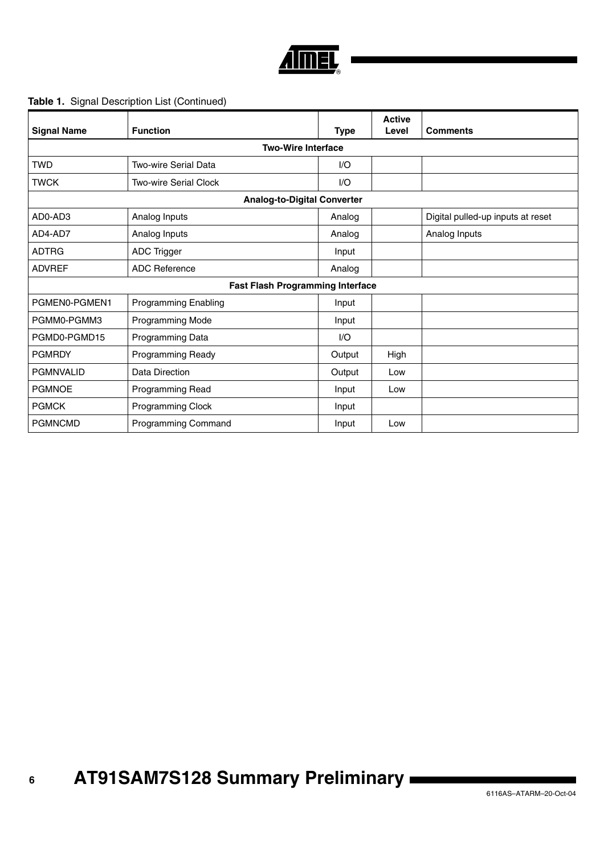

### **Table 1.** Signal Description List (Continued)

| <b>Signal Name</b> | <b>Function</b>                         | <b>Type</b> | <b>Active</b><br>Level | <b>Comments</b>                   |  |  |  |  |
|--------------------|-----------------------------------------|-------------|------------------------|-----------------------------------|--|--|--|--|
|                    | <b>Two-Wire Interface</b>               |             |                        |                                   |  |  |  |  |
| <b>TWD</b>         | Two-wire Serial Data                    | 1/O         |                        |                                   |  |  |  |  |
| <b>TWCK</b>        | Two-wire Serial Clock                   | 1/O         |                        |                                   |  |  |  |  |
|                    | <b>Analog-to-Digital Converter</b>      |             |                        |                                   |  |  |  |  |
| AD0-AD3            | Analog Inputs                           | Analog      |                        | Digital pulled-up inputs at reset |  |  |  |  |
| AD4-AD7            | Analog Inputs                           | Analog      |                        | Analog Inputs                     |  |  |  |  |
| <b>ADTRG</b>       | ADC Trigger                             | Input       |                        |                                   |  |  |  |  |
| <b>ADVREF</b>      | <b>ADC Reference</b>                    | Analog      |                        |                                   |  |  |  |  |
|                    | <b>Fast Flash Programming Interface</b> |             |                        |                                   |  |  |  |  |
| PGMEN0-PGMEN1      | <b>Programming Enabling</b>             | Input       |                        |                                   |  |  |  |  |
| PGMM0-PGMM3        | Programming Mode                        | Input       |                        |                                   |  |  |  |  |
| PGMD0-PGMD15       | Programming Data                        | I/O         |                        |                                   |  |  |  |  |
| <b>PGMRDY</b>      | Programming Ready                       | Output      | High                   |                                   |  |  |  |  |
| <b>PGMNVALID</b>   | Data Direction                          | Output      | Low                    |                                   |  |  |  |  |
| <b>PGMNOE</b>      | Programming Read                        | Input       | Low                    |                                   |  |  |  |  |
| <b>PGMCK</b>       | Programming Clock                       | Input       |                        |                                   |  |  |  |  |
| <b>PGMNCMD</b>     | Programming Command                     | Input       | Low                    |                                   |  |  |  |  |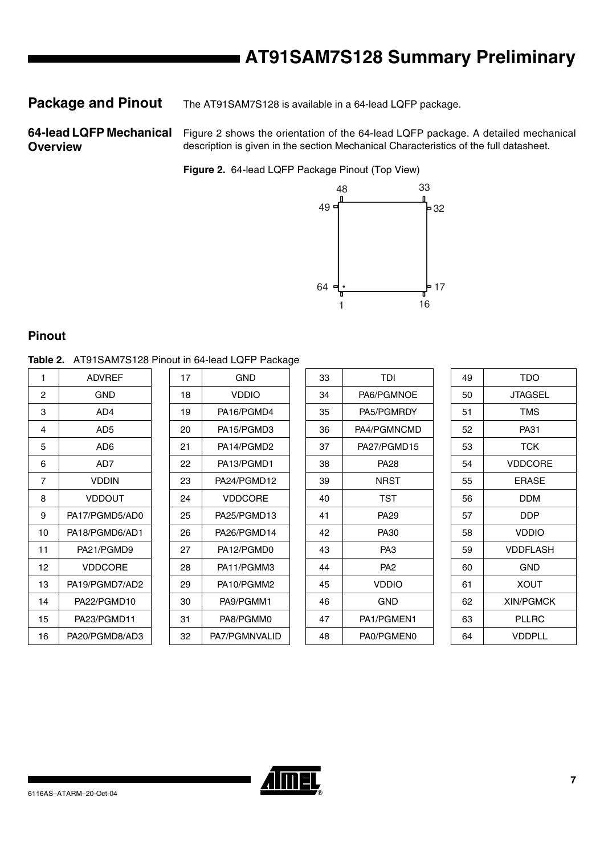**Package and Pinout** The AT91SAM7S128 is available in a 64-lead LQFP package.

### **64-lead LQFP Mechanical Overview**

Figure 2 shows the orientation of the 64-lead LQFP package. A detailed mechanical description is given in the section Mechanical Characteristics of the full datasheet.

**Figure 2.** 64-lead LQFP Package Pinout (Top View)



### **Pinout**

**Table 2.** AT91SAM7S128 Pinout in 64-lead LQFP Package

| <b>ADVREF</b>  |
|----------------|
| GND            |
| AD4            |
| AD5            |
| AD6            |
| AD7            |
| <b>VDDIN</b>   |
| <b>VDDOUT</b>  |
| PA17/PGMD5/AD0 |
| PA18/PGMD6/AD1 |
| PA21/PGMD9     |
| VDDCORE        |
| PA19/PGMD7/AD2 |
| PA22/PGMD10    |
| PA23/PGMD11    |
| PA20/PGMD8/AD3 |
|                |

| 17 | GND           |
|----|---------------|
| 18 | VDDIO         |
| 19 | PA16/PGMD4    |
| 20 | PA15/PGMD3    |
| 21 | PA14/PGMD2    |
| 22 | PA13/PGMD1    |
| 23 | PA24/PGMD12   |
| 24 | VDDCORE       |
| 25 | PA25/PGMD13   |
| 26 | PA26/PGMD14   |
| 27 | PA12/PGMD0    |
| 28 | PA11/PGMM3    |
| 29 | PA10/PGMM2    |
| 30 | PA9/PGMM1     |
| 31 | PA8/PGMM0     |
| 32 | PA7/PGMNVALID |

| 1  | <b>ADVREF</b>   | 17 | <b>GND</b>     | 33 | <b>TDI</b>      | 49 | TDO              |
|----|-----------------|----|----------------|----|-----------------|----|------------------|
| 2  | <b>GND</b>      | 18 | <b>VDDIO</b>   | 34 | PA6/PGMNOE      | 50 | <b>JTAGSEL</b>   |
| 3  | AD4             | 19 | PA16/PGMD4     | 35 | PA5/PGMRDY      | 51 | <b>TMS</b>       |
| 4  | AD <sub>5</sub> | 20 | PA15/PGMD3     | 36 | PA4/PGMNCMD     | 52 | PA31             |
| 5  | AD6             | 21 | PA14/PGMD2     | 37 | PA27/PGMD15     | 53 | <b>TCK</b>       |
| 6  | AD7             | 22 | PA13/PGMD1     | 38 | <b>PA28</b>     | 54 | <b>VDDCORE</b>   |
| 7  | VDDIN           | 23 | PA24/PGMD12    | 39 | <b>NRST</b>     | 55 | <b>ERASE</b>     |
| 8  | <b>VDDOUT</b>   | 24 | <b>VDDCORE</b> | 40 | TST             | 56 | <b>DDM</b>       |
| 9  | PA17/PGMD5/AD0  | 25 | PA25/PGMD13    | 41 | <b>PA29</b>     | 57 | DDP              |
| 10 | PA18/PGMD6/AD1  | 26 | PA26/PGMD14    | 42 | PA30            | 58 | <b>VDDIO</b>     |
| 11 | PA21/PGMD9      | 27 | PA12/PGMD0     | 43 | PA <sub>3</sub> | 59 | <b>VDDFLASH</b>  |
| 12 | <b>VDDCORE</b>  | 28 | PA11/PGMM3     | 44 | PA <sub>2</sub> | 60 | <b>GND</b>       |
| 13 | PA19/PGMD7/AD2  | 29 | PA10/PGMM2     | 45 | <b>VDDIO</b>    | 61 | <b>XOUT</b>      |
| 14 | PA22/PGMD10     | 30 | PA9/PGMM1      | 46 | <b>GND</b>      | 62 | <b>XIN/PGMCK</b> |
| 15 | PA23/PGMD11     | 31 | PA8/PGMM0      | 47 | PA1/PGMEN1      | 63 | <b>PLLRC</b>     |
| 16 | PA20/PGMD8/AD3  | 32 | PA7/PGMNVALID  | 48 | PA0/PGMEN0      | 64 | <b>VDDPLL</b>    |

| 49 | <b>TDO</b>       |
|----|------------------|
| 50 | JTAGSEL          |
| 51 | <b>TMS</b>       |
| 52 | PA31             |
| 53 | TCK              |
| 54 | VDDCORE          |
| 55 | <b>FRASE</b>     |
| 56 | DDM              |
| 57 | DDP              |
| 58 | <b>VDDIO</b>     |
| 59 | VDDFLASH         |
| 60 | GND              |
| 61 | XOUT             |
| 62 | <b>XIN/PGMCK</b> |
| 63 | PLLRC            |
| 64 | <b>VDDPLL</b>    |

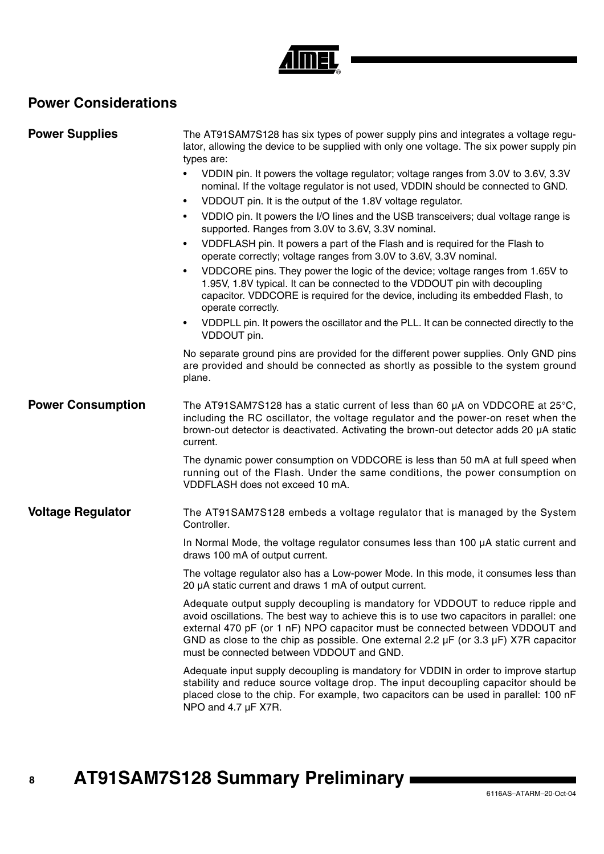# **NEL**

## **Power Considerations**

| <b>Power Supplies</b>    | The AT91SAM7S128 has six types of power supply pins and integrates a voltage regu-<br>lator, allowing the device to be supplied with only one voltage. The six power supply pin<br>types are:                                                                                                                                                                                                              |  |  |  |
|--------------------------|------------------------------------------------------------------------------------------------------------------------------------------------------------------------------------------------------------------------------------------------------------------------------------------------------------------------------------------------------------------------------------------------------------|--|--|--|
|                          | VDDIN pin. It powers the voltage regulator; voltage ranges from 3.0V to 3.6V, 3.3V<br>$\bullet$<br>nominal. If the voltage regulator is not used, VDDIN should be connected to GND.                                                                                                                                                                                                                        |  |  |  |
|                          | VDDOUT pin. It is the output of the 1.8V voltage regulator.<br>$\bullet$                                                                                                                                                                                                                                                                                                                                   |  |  |  |
|                          | VDDIO pin. It powers the I/O lines and the USB transceivers; dual voltage range is<br>$\bullet$<br>supported. Ranges from 3.0V to 3.6V, 3.3V nominal.                                                                                                                                                                                                                                                      |  |  |  |
|                          | VDDFLASH pin. It powers a part of the Flash and is required for the Flash to<br>$\bullet$<br>operate correctly; voltage ranges from 3.0V to 3.6V, 3.3V nominal.                                                                                                                                                                                                                                            |  |  |  |
|                          | VDDCORE pins. They power the logic of the device; voltage ranges from 1.65V to<br>$\bullet$<br>1.95V, 1.8V typical. It can be connected to the VDDOUT pin with decoupling<br>capacitor. VDDCORE is required for the device, including its embedded Flash, to<br>operate correctly.                                                                                                                         |  |  |  |
|                          | VDDPLL pin. It powers the oscillator and the PLL. It can be connected directly to the<br>$\bullet$<br>VDDOUT pin.                                                                                                                                                                                                                                                                                          |  |  |  |
|                          | No separate ground pins are provided for the different power supplies. Only GND pins<br>are provided and should be connected as shortly as possible to the system ground<br>plane.                                                                                                                                                                                                                         |  |  |  |
| <b>Power Consumption</b> | The AT91SAM7S128 has a static current of less than 60 $\mu$ A on VDDCORE at 25 $\degree$ C,<br>including the RC oscillator, the voltage regulator and the power-on reset when the<br>brown-out detector is deactivated. Activating the brown-out detector adds 20 µA static<br>current.                                                                                                                    |  |  |  |
|                          | The dynamic power consumption on VDDCORE is less than 50 mA at full speed when<br>running out of the Flash. Under the same conditions, the power consumption on<br>VDDFLASH does not exceed 10 mA.                                                                                                                                                                                                         |  |  |  |
| <b>Voltage Regulator</b> | The AT91SAM7S128 embeds a voltage regulator that is managed by the System<br>Controller.                                                                                                                                                                                                                                                                                                                   |  |  |  |
|                          | In Normal Mode, the voltage regulator consumes less than 100 µA static current and<br>draws 100 mA of output current.                                                                                                                                                                                                                                                                                      |  |  |  |
|                          | The voltage regulator also has a Low-power Mode. In this mode, it consumes less than<br>20 µA static current and draws 1 mA of output current.                                                                                                                                                                                                                                                             |  |  |  |
|                          | Adequate output supply decoupling is mandatory for VDDOUT to reduce ripple and<br>avoid oscillations. The best way to achieve this is to use two capacitors in parallel: one<br>external 470 pF (or 1 nF) NPO capacitor must be connected between VDDOUT and<br>GND as close to the chip as possible. One external 2.2 $\mu$ F (or 3.3 $\mu$ F) X7R capacitor<br>must be connected between VDDOUT and GND. |  |  |  |
|                          | Adequate input supply decoupling is mandatory for VDDIN in order to improve startup<br>stability and reduce source voltage drop. The input decoupling capacitor should be<br>placed close to the chip. For example, two capacitors can be used in parallel: 100 nF<br>NPO and 4.7 µF X7R.                                                                                                                  |  |  |  |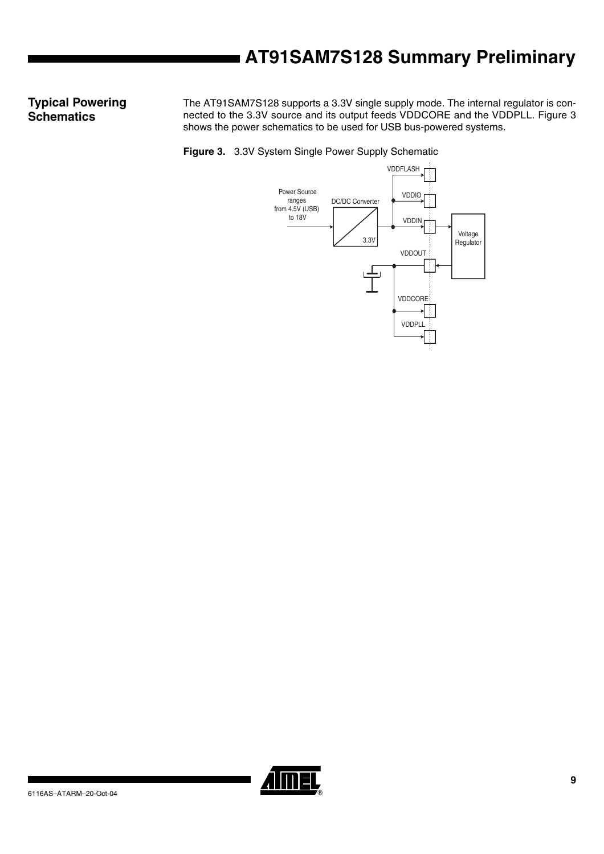### **Typical Powering Schematics**

The AT91SAM7S128 supports a 3.3V single supply mode. The internal regulator is connected to the 3.3V source and its output feeds VDDCORE and the VDDPLL. Figure 3 shows the power schematics to be used for USB bus-powered systems.

**Figure 3.** 3.3V System Single Power Supply Schematic



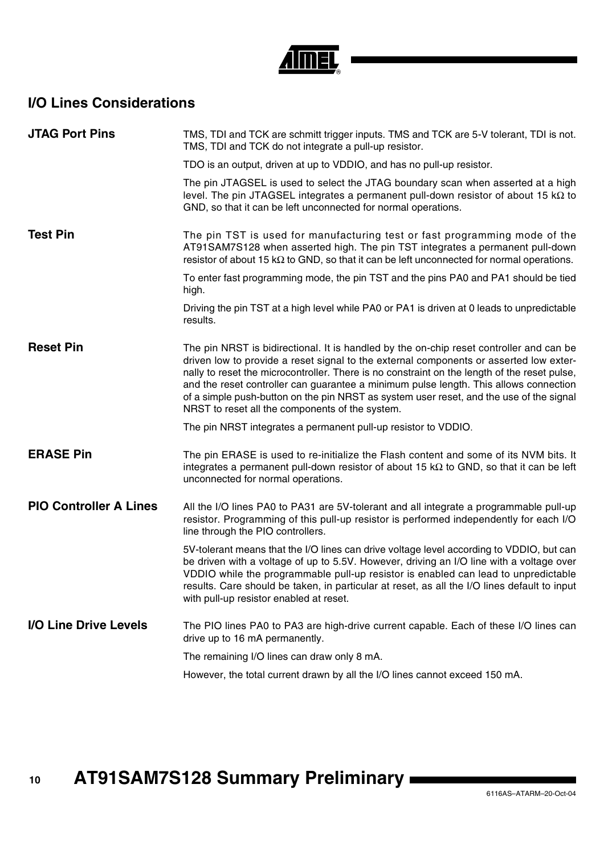

## **I/O Lines Considerations**

| TMS, TDI and TCK are schmitt trigger inputs. TMS and TCK are 5-V tolerant, TDI is not.<br>TMS, TDI and TCK do not integrate a pull-up resistor.                                                                                                                                                                                                                                                                                                                                                                          |
|--------------------------------------------------------------------------------------------------------------------------------------------------------------------------------------------------------------------------------------------------------------------------------------------------------------------------------------------------------------------------------------------------------------------------------------------------------------------------------------------------------------------------|
| TDO is an output, driven at up to VDDIO, and has no pull-up resistor.                                                                                                                                                                                                                                                                                                                                                                                                                                                    |
| The pin JTAGSEL is used to select the JTAG boundary scan when asserted at a high<br>level. The pin JTAGSEL integrates a permanent pull-down resistor of about 15 $k\Omega$ to<br>GND, so that it can be left unconnected for normal operations.                                                                                                                                                                                                                                                                          |
| The pin TST is used for manufacturing test or fast programming mode of the<br>AT91SAM7S128 when asserted high. The pin TST integrates a permanent pull-down<br>resistor of about 15 $k\Omega$ to GND, so that it can be left unconnected for normal operations.                                                                                                                                                                                                                                                          |
| To enter fast programming mode, the pin TST and the pins PA0 and PA1 should be tied<br>high.                                                                                                                                                                                                                                                                                                                                                                                                                             |
| Driving the pin TST at a high level while PA0 or PA1 is driven at 0 leads to unpredictable<br>results.                                                                                                                                                                                                                                                                                                                                                                                                                   |
| The pin NRST is bidirectional. It is handled by the on-chip reset controller and can be<br>driven low to provide a reset signal to the external components or asserted low exter-<br>nally to reset the microcontroller. There is no constraint on the length of the reset pulse,<br>and the reset controller can guarantee a minimum pulse length. This allows connection<br>of a simple push-button on the pin NRST as system user reset, and the use of the signal<br>NRST to reset all the components of the system. |
| The pin NRST integrates a permanent pull-up resistor to VDDIO.                                                                                                                                                                                                                                                                                                                                                                                                                                                           |
| The pin ERASE is used to re-initialize the Flash content and some of its NVM bits. It<br>integrates a permanent pull-down resistor of about 15 $k\Omega$ to GND, so that it can be left<br>unconnected for normal operations.                                                                                                                                                                                                                                                                                            |
| All the I/O lines PA0 to PA31 are 5V-tolerant and all integrate a programmable pull-up<br>resistor. Programming of this pull-up resistor is performed independently for each I/O<br>line through the PIO controllers.                                                                                                                                                                                                                                                                                                    |
| 5V-tolerant means that the I/O lines can drive voltage level according to VDDIO, but can<br>be driven with a voltage of up to 5.5V. However, driving an I/O line with a voltage over<br>VDDIO while the programmable pull-up resistor is enabled can lead to unpredictable<br>results. Care should be taken, in particular at reset, as all the I/O lines default to input<br>with pull-up resistor enabled at reset.                                                                                                    |
| The PIO lines PA0 to PA3 are high-drive current capable. Each of these I/O lines can<br>drive up to 16 mA permanently.                                                                                                                                                                                                                                                                                                                                                                                                   |
| The remaining I/O lines can draw only 8 mA.                                                                                                                                                                                                                                                                                                                                                                                                                                                                              |
| However, the total current drawn by all the I/O lines cannot exceed 150 mA.                                                                                                                                                                                                                                                                                                                                                                                                                                              |
|                                                                                                                                                                                                                                                                                                                                                                                                                                                                                                                          |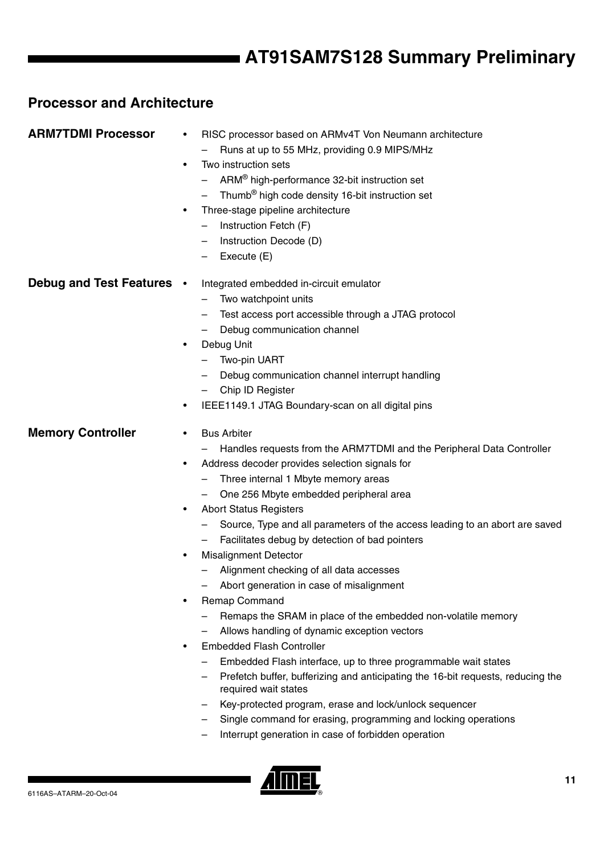### **Processor and Architecture**

| <b>ARM7TDMI Processor</b> | RISC processor based on ARMv4T Von Neumann architecture<br>٠<br>Runs at up to 55 MHz, providing 0.9 MIPS/MHz<br>Two instruction sets<br>$\bullet$<br>ARM <sup>®</sup> high-performance 32-bit instruction set<br>Thumb <sup>®</sup> high code density 16-bit instruction set<br>Three-stage pipeline architecture<br>٠<br>Instruction Fetch (F)<br>Instruction Decode (D)<br>Execute (E)                                                                                                                                                                                                                                                                                                                                                                                                                                                                                                                                                                                                                                                                                                           |
|---------------------------|----------------------------------------------------------------------------------------------------------------------------------------------------------------------------------------------------------------------------------------------------------------------------------------------------------------------------------------------------------------------------------------------------------------------------------------------------------------------------------------------------------------------------------------------------------------------------------------------------------------------------------------------------------------------------------------------------------------------------------------------------------------------------------------------------------------------------------------------------------------------------------------------------------------------------------------------------------------------------------------------------------------------------------------------------------------------------------------------------|
| Debug and Test Features . | Integrated embedded in-circuit emulator<br>Two watchpoint units<br>Test access port accessible through a JTAG protocol<br>Debug communication channel<br>Debug Unit<br>٠<br>Two-pin UART<br>Debug communication channel interrupt handling<br>Chip ID Register<br>IEEE1149.1 JTAG Boundary-scan on all digital pins<br>٠                                                                                                                                                                                                                                                                                                                                                                                                                                                                                                                                                                                                                                                                                                                                                                           |
| <b>Memory Controller</b>  | <b>Bus Arbiter</b><br>$\bullet$<br>Handles requests from the ARM7TDMI and the Peripheral Data Controller<br>Address decoder provides selection signals for<br>٠<br>Three internal 1 Mbyte memory areas<br>One 256 Mbyte embedded peripheral area<br><b>Abort Status Registers</b><br>٠<br>Source, Type and all parameters of the access leading to an abort are saved<br>Facilitates debug by detection of bad pointers<br><b>Misalignment Detector</b><br>٠<br>Alignment checking of all data accesses<br>Abort generation in case of misalignment<br>Remap Command<br>٠<br>Remaps the SRAM in place of the embedded non-volatile memory<br>Allows handling of dynamic exception vectors<br><b>Embedded Flash Controller</b><br>٠<br>Embedded Flash interface, up to three programmable wait states<br>Prefetch buffer, bufferizing and anticipating the 16-bit requests, reducing the<br>required wait states<br>Key-protected program, erase and lock/unlock sequencer<br>Single command for erasing, programming and locking operations<br>Interrupt generation in case of forbidden operation |

<u>Almel</u>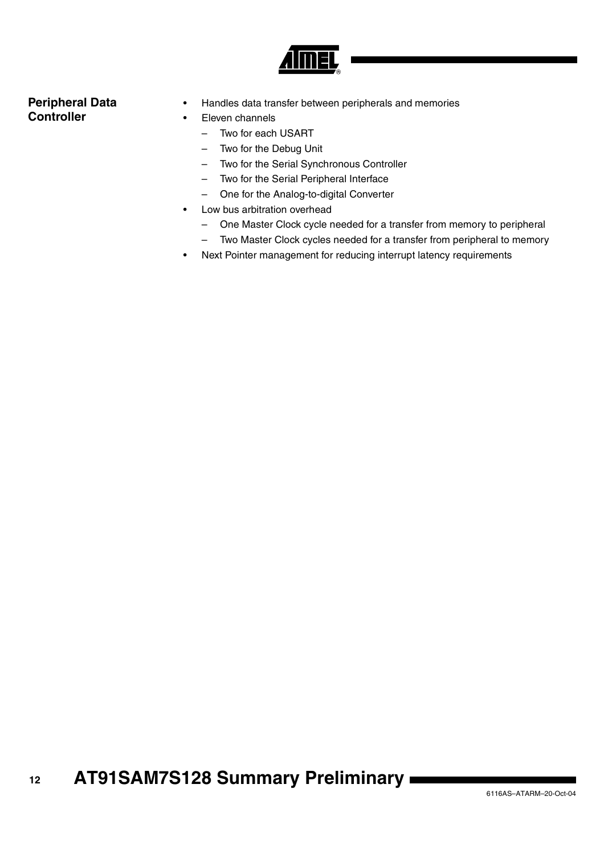

### **Peripheral Data Controller**

- Handles data transfer between peripherals and memories
- Eleven channels
	- Two for each USART
	- Two for the Debug Unit
	- Two for the Serial Synchronous Controller
	- Two for the Serial Peripheral Interface
	- One for the Analog-to-digital Converter
- Low bus arbitration overhead
	- One Master Clock cycle needed for a transfer from memory to peripheral
	- Two Master Clock cycles needed for a transfer from peripheral to memory
- Next Pointer management for reducing interrupt latency requirements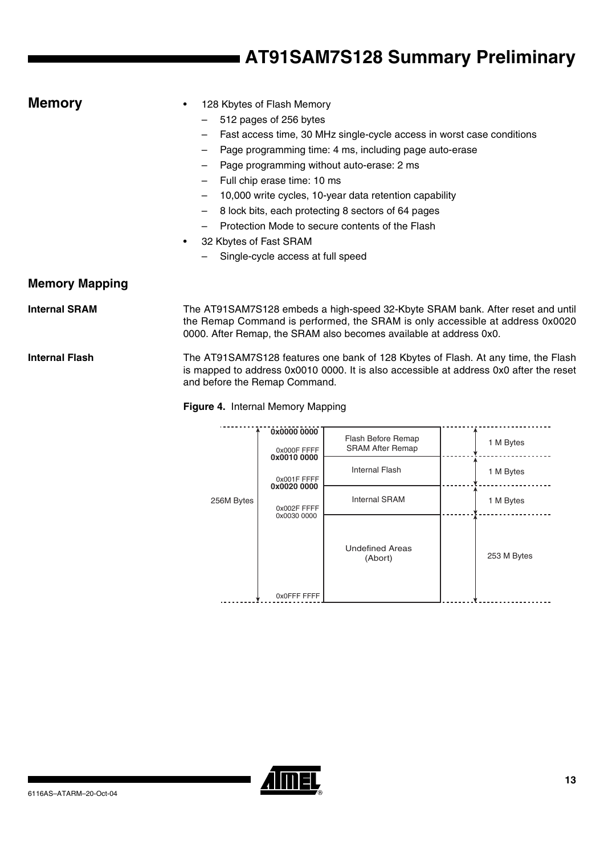| <b>Memory</b>         | ٠         | 128 Kbytes of Flash Memory                                                               |
|-----------------------|-----------|------------------------------------------------------------------------------------------|
|                       |           | 512 pages of 256 bytes<br>$\overline{\phantom{0}}$                                       |
|                       |           | Fast access time, 30 MHz single-cycle access in worst case conditions<br>$\qquad \qquad$ |
|                       |           | Page programming time: 4 ms, including page auto-erase<br>$\qquad \qquad$                |
|                       |           | Page programming without auto-erase: 2 ms<br>$\qquad \qquad$                             |
|                       |           | Full chip erase time: 10 ms                                                              |
|                       |           | 10,000 write cycles, 10-year data retention capability<br>$\qquad \qquad \blacksquare$   |
|                       |           | 8 lock bits, each protecting 8 sectors of 64 pages<br>$\qquad \qquad -$                  |
|                       |           | Protection Mode to secure contents of the Flash                                          |
|                       | $\bullet$ | 32 Kbytes of Fast SRAM                                                                   |
|                       |           | Single-cycle access at full speed                                                        |
| <b>Memory Mapping</b> |           |                                                                                          |

Internal SRAM The AT91SAM7S128 embeds a high-speed 32-Kbyte SRAM bank. After reset and until the Remap Command is performed, the SRAM is only accessible at address 0x0020 0000. After Remap, the SRAM also becomes available at address 0x0.

Internal Flash The AT91SAM7S128 features one bank of 128 Kbytes of Flash. At any time, the Flash is mapped to address 0x0010 0000. It is also accessible at address 0x0 after the reset and before the Remap Command.

### **Figure 4.** Internal Memory Mapping

|            | 0x0000 0000<br>0x000F FFFF                | Flash Before Remap<br><b>SRAM After Remap</b> |  | 1 M Bytes   |
|------------|-------------------------------------------|-----------------------------------------------|--|-------------|
|            | 0x0010 0000<br>0x001F FFFF<br>0x0020 0000 | Internal Flash                                |  | 1 M Bytes   |
| 256M Bytes | 0x002F FFFF                               | <b>Internal SRAM</b>                          |  | 1 M Bytes   |
|            | 0x0030 0000<br>0x0FFF FFFF                | <b>Undefined Areas</b><br>(Abort)             |  | 253 M Bytes |

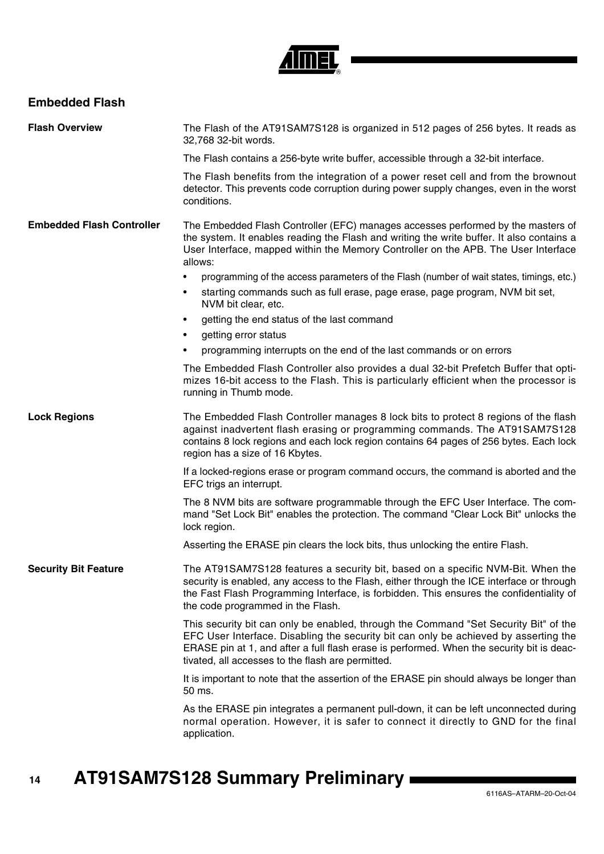

### **Embedded Flash**

| <b>Flash Overview</b>            | The Flash of the AT91SAM7S128 is organized in 512 pages of 256 bytes. It reads as<br>32,768 32-bit words.                                                                                                                                                                                                                      |  |
|----------------------------------|--------------------------------------------------------------------------------------------------------------------------------------------------------------------------------------------------------------------------------------------------------------------------------------------------------------------------------|--|
|                                  | The Flash contains a 256-byte write buffer, accessible through a 32-bit interface.                                                                                                                                                                                                                                             |  |
|                                  | The Flash benefits from the integration of a power reset cell and from the brownout<br>detector. This prevents code corruption during power supply changes, even in the worst<br>conditions.                                                                                                                                   |  |
| <b>Embedded Flash Controller</b> | The Embedded Flash Controller (EFC) manages accesses performed by the masters of<br>the system. It enables reading the Flash and writing the write buffer. It also contains a<br>User Interface, mapped within the Memory Controller on the APB. The User Interface<br>allows:                                                 |  |
|                                  | programming of the access parameters of the Flash (number of wait states, timings, etc.)<br>$\bullet$                                                                                                                                                                                                                          |  |
|                                  | starting commands such as full erase, page erase, page program, NVM bit set,<br>٠<br>NVM bit clear, etc.                                                                                                                                                                                                                       |  |
|                                  | getting the end status of the last command<br>$\bullet$<br>getting error status<br>$\bullet$                                                                                                                                                                                                                                   |  |
|                                  | programming interrupts on the end of the last commands or on errors                                                                                                                                                                                                                                                            |  |
|                                  | The Embedded Flash Controller also provides a dual 32-bit Prefetch Buffer that opti-<br>mizes 16-bit access to the Flash. This is particularly efficient when the processor is<br>running in Thumb mode.                                                                                                                       |  |
| <b>Lock Regions</b>              | The Embedded Flash Controller manages 8 lock bits to protect 8 regions of the flash<br>against inadvertent flash erasing or programming commands. The AT91SAM7S128<br>contains 8 lock regions and each lock region contains 64 pages of 256 bytes. Each lock<br>region has a size of 16 Kbytes.                                |  |
|                                  | If a locked-regions erase or program command occurs, the command is aborted and the<br>EFC trigs an interrupt.                                                                                                                                                                                                                 |  |
|                                  | The 8 NVM bits are software programmable through the EFC User Interface. The com-<br>mand "Set Lock Bit" enables the protection. The command "Clear Lock Bit" unlocks the<br>lock region.                                                                                                                                      |  |
|                                  | Asserting the ERASE pin clears the lock bits, thus unlocking the entire Flash.                                                                                                                                                                                                                                                 |  |
| <b>Security Bit Feature</b>      | The AT91SAM7S128 features a security bit, based on a specific NVM-Bit. When the<br>security is enabled, any access to the Flash, either through the ICE interface or through<br>the Fast Flash Programming Interface, is forbidden. This ensures the confidentiality of<br>the code programmed in the Flash.                   |  |
|                                  | This security bit can only be enabled, through the Command "Set Security Bit" of the<br>EFC User Interface. Disabling the security bit can only be achieved by asserting the<br>ERASE pin at 1, and after a full flash erase is performed. When the security bit is deac-<br>tivated, all accesses to the flash are permitted. |  |
|                                  | It is important to note that the assertion of the ERASE pin should always be longer than<br>50 ms.                                                                                                                                                                                                                             |  |
|                                  | As the ERASE pin integrates a permanent pull-down, it can be left unconnected during<br>normal operation. However, it is safer to connect it directly to GND for the final<br>application.                                                                                                                                     |  |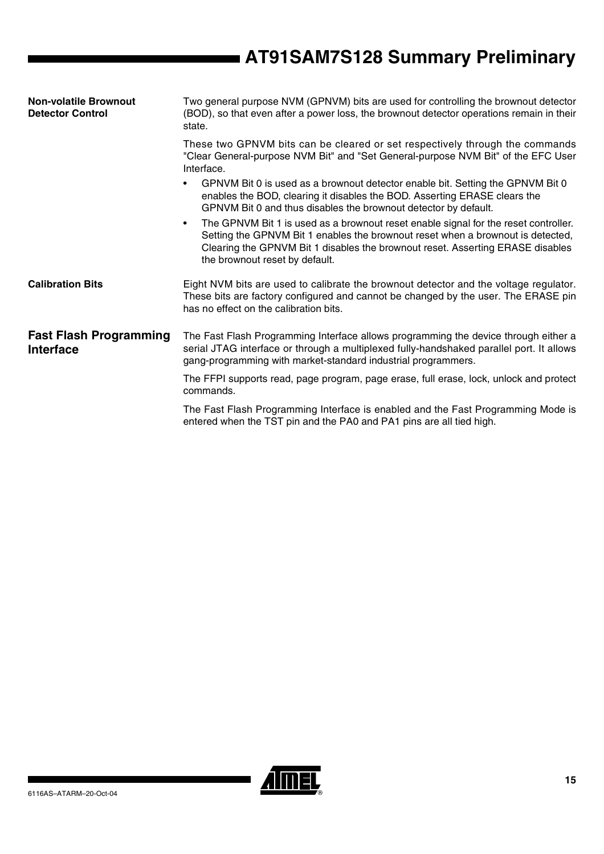| <b>Non-volatile Brownout</b><br><b>Detector Control</b> | Two general purpose NVM (GPNVM) bits are used for controlling the brownout detector<br>(BOD), so that even after a power loss, the brownout detector operations remain in their<br>state.                                                                                                               |  |  |
|---------------------------------------------------------|---------------------------------------------------------------------------------------------------------------------------------------------------------------------------------------------------------------------------------------------------------------------------------------------------------|--|--|
|                                                         | These two GPNVM bits can be cleared or set respectively through the commands<br>"Clear General-purpose NVM Bit" and "Set General-purpose NVM Bit" of the EFC User<br>Interface.                                                                                                                         |  |  |
|                                                         | GPNVM Bit 0 is used as a brownout detector enable bit. Setting the GPNVM Bit 0<br>enables the BOD, clearing it disables the BOD. Asserting ERASE clears the<br>GPNVM Bit 0 and thus disables the brownout detector by default.                                                                          |  |  |
|                                                         | The GPNVM Bit 1 is used as a brownout reset enable signal for the reset controller.<br>$\bullet$<br>Setting the GPNVM Bit 1 enables the brownout reset when a brownout is detected,<br>Clearing the GPNVM Bit 1 disables the brownout reset. Asserting ERASE disables<br>the brownout reset by default. |  |  |
| <b>Calibration Bits</b>                                 | Eight NVM bits are used to calibrate the brownout detector and the voltage regulator.<br>These bits are factory configured and cannot be changed by the user. The ERASE pin<br>has no effect on the calibration bits.                                                                                   |  |  |
| <b>Fast Flash Programming</b><br><b>Interface</b>       | The Fast Flash Programming Interface allows programming the device through either a<br>serial JTAG interface or through a multiplexed fully-handshaked parallel port. It allows<br>gang-programming with market-standard industrial programmers.                                                        |  |  |
|                                                         | The FFPI supports read, page program, page erase, full erase, lock, unlock and protect<br>commands.                                                                                                                                                                                                     |  |  |
|                                                         | The Fast Flash Programming Interface is enabled and the Fast Programming Mode is<br>entered when the TST pin and the PA0 and PA1 pins are all tied high.                                                                                                                                                |  |  |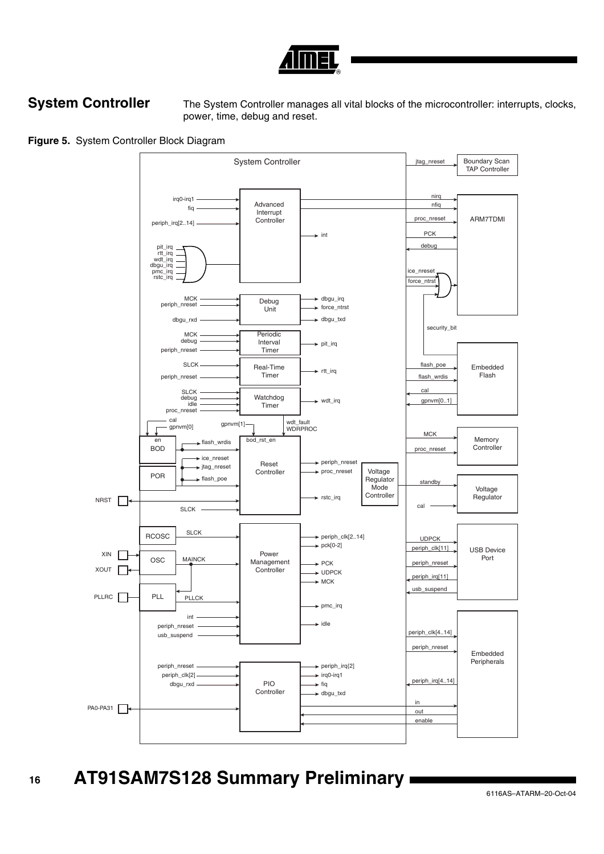

**System Controller** The System Controller manages all vital blocks of the microcontroller: interrupts, clocks, power, time, debug and reset.

**Figure 5.** System Controller Block Diagram

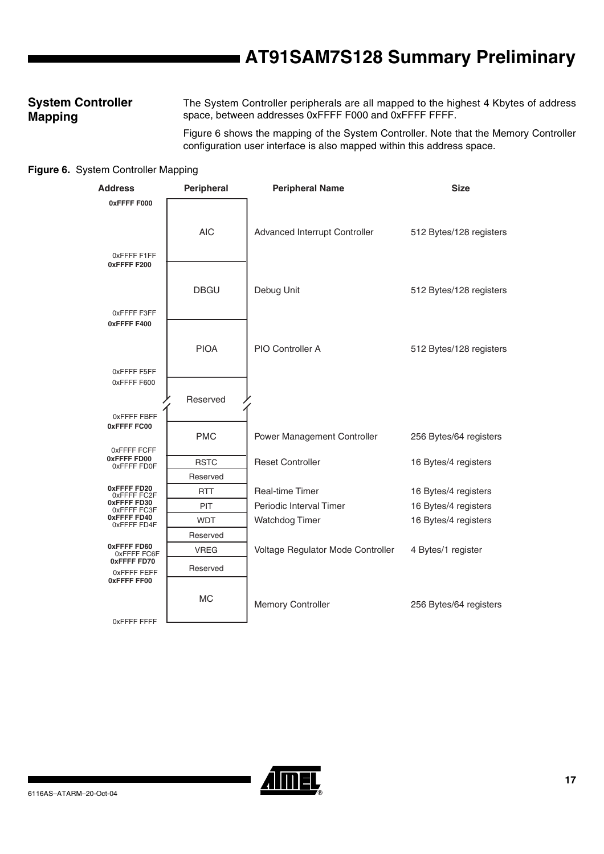### **System Controller Mapping**

The System Controller peripherals are all mapped to the highest 4 Kbytes of address space, between addresses 0xFFFF F000 and 0xFFFF FFFF.

Figure 6 shows the mapping of the System Controller. Note that the Memory Controller configuration user interface is also mapped within this address space.

### **Figure 6.** System Controller Mapping

| <b>Address</b>                                   | Peripheral  | <b>Peripheral Name</b>            | <b>Size</b>             |
|--------------------------------------------------|-------------|-----------------------------------|-------------------------|
| 0xFFFF F000                                      |             |                                   |                         |
|                                                  | <b>AIC</b>  | Advanced Interrupt Controller     | 512 Bytes/128 registers |
| OXFFFF F1FF<br>0xFFFFF F200                      |             |                                   |                         |
|                                                  | <b>DBGU</b> | Debug Unit                        | 512 Bytes/128 registers |
| OXFFFF F3FF<br>0xFFFFF400                        |             |                                   |                         |
|                                                  | <b>PIOA</b> | PIO Controller A                  | 512 Bytes/128 registers |
| OXFFFF F5FF<br>0xFFFF F600                       |             |                                   |                         |
|                                                  | Reserved    |                                   |                         |
| OXFFFF FBFF                                      |             |                                   |                         |
| 0xFFFFFFC00                                      | <b>PMC</b>  | Power Management Controller       | 256 Bytes/64 registers  |
| 0xFFFF FCFF<br>0xFFFF FD00                       | <b>RSTC</b> | <b>Reset Controller</b>           | 16 Bytes/4 registers    |
| OXFFFF FD0F                                      | Reserved    |                                   |                         |
| 0xFFFF FD20<br>0xFFFFFFC2F                       | <b>RTT</b>  | <b>Real-time Timer</b>            | 16 Bytes/4 registers    |
| 0xFFFF FD30<br>0xFFFF FC3F                       | <b>PIT</b>  | Periodic Interval Timer           | 16 Bytes/4 registers    |
| 0xFFFF FD40<br>OXFFFF FD4F                       | <b>WDT</b>  | Watchdog Timer                    | 16 Bytes/4 registers    |
|                                                  | Reserved    |                                   |                         |
| 0xFFFF FD60<br>0xFFFF FC6F                       | <b>VREG</b> | Voltage Regulator Mode Controller | 4 Bytes/1 register      |
| 0xFFFFFFD70<br>OxFFFF FEFF<br><b>OXFFFF FF00</b> | Reserved    |                                   |                         |
| OxFFFF FFFF                                      | <b>MC</b>   | <b>Memory Controller</b>          | 256 Bytes/64 registers  |
|                                                  |             |                                   |                         |

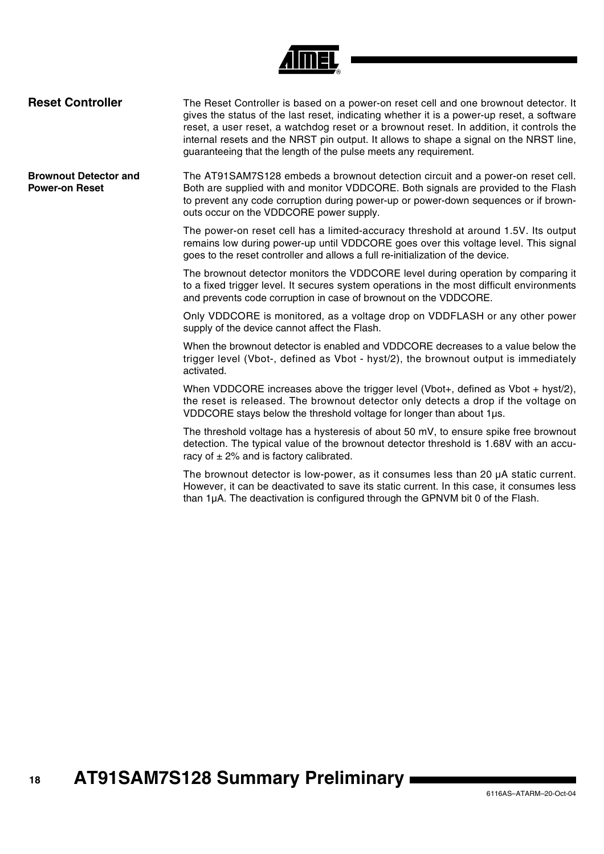

| <b>Reset Controller</b>                               | The Reset Controller is based on a power-on reset cell and one brownout detector. It<br>gives the status of the last reset, indicating whether it is a power-up reset, a software<br>reset, a user reset, a watchdog reset or a brownout reset. In addition, it controls the<br>internal resets and the NRST pin output. It allows to shape a signal on the NRST line,<br>guaranteeing that the length of the pulse meets any requirement. |
|-------------------------------------------------------|--------------------------------------------------------------------------------------------------------------------------------------------------------------------------------------------------------------------------------------------------------------------------------------------------------------------------------------------------------------------------------------------------------------------------------------------|
| <b>Brownout Detector and</b><br><b>Power-on Reset</b> | The AT91SAM7S128 embeds a brownout detection circuit and a power-on reset cell.<br>Both are supplied with and monitor VDDCORE. Both signals are provided to the Flash<br>to prevent any code corruption during power-up or power-down sequences or if brown-<br>outs occur on the VDDCORE power supply.                                                                                                                                    |
|                                                       | The power-on reset cell has a limited-accuracy threshold at around 1.5V. Its output<br>remains low during power-up until VDDCORE goes over this voltage level. This signal<br>goes to the reset controller and allows a full re-initialization of the device.                                                                                                                                                                              |
|                                                       | The brownout detector monitors the VDDCORE level during operation by comparing it<br>to a fixed trigger level. It secures system operations in the most difficult environments<br>and prevents code corruption in case of brownout on the VDDCORE.                                                                                                                                                                                         |
|                                                       | Only VDDCORE is monitored, as a voltage drop on VDDFLASH or any other power<br>supply of the device cannot affect the Flash.                                                                                                                                                                                                                                                                                                               |
|                                                       | When the brownout detector is enabled and VDDCORE decreases to a value below the<br>trigger level (Vbot-, defined as Vbot - hyst/2), the brownout output is immediately<br>activated.                                                                                                                                                                                                                                                      |
|                                                       | When VDDCORE increases above the trigger level (Vbot+, defined as Vbot + hyst/2),<br>the reset is released. The brownout detector only detects a drop if the voltage on<br>VDDCORE stays below the threshold voltage for longer than about 1µs.                                                                                                                                                                                            |
|                                                       | The threshold voltage has a hysteresis of about 50 mV, to ensure spike free brownout<br>detection. The typical value of the brownout detector threshold is 1.68V with an accu-<br>racy of $\pm$ 2% and is factory calibrated.                                                                                                                                                                                                              |
|                                                       | The brownout detector is low-power, as it consumes less than 20 µA static current.<br>However, it can be deactivated to save its static current. In this case, it consumes less<br>than 1µA. The deactivation is configured through the GPNVM bit 0 of the Flash.                                                                                                                                                                          |
|                                                       |                                                                                                                                                                                                                                                                                                                                                                                                                                            |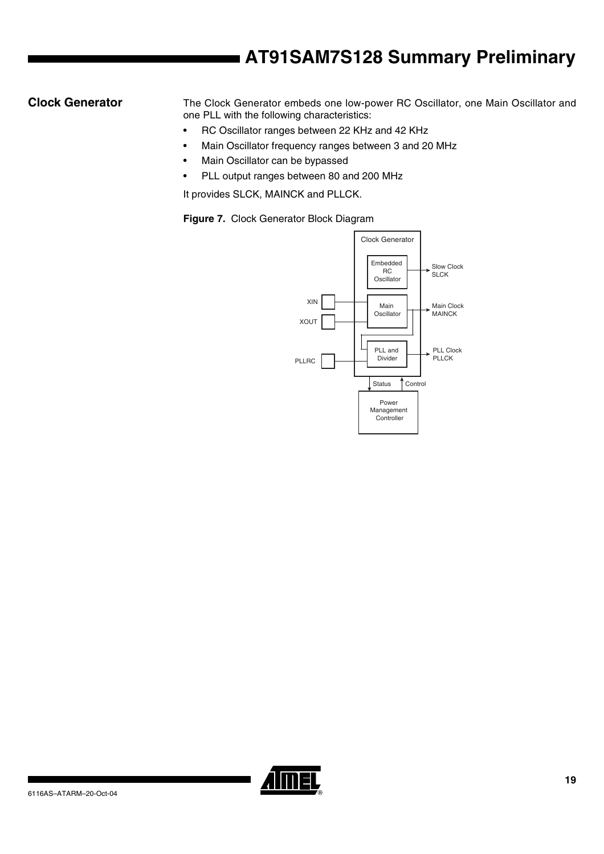**Clock Generator** The Clock Generator embeds one low-power RC Oscillator, one Main Oscillator and one PLL with the following characteristics:

- RC Oscillator ranges between 22 KHz and 42 KHz
- Main Oscillator frequency ranges between 3 and 20 MHz
- Main Oscillator can be bypassed
- PLL output ranges between 80 and 200 MHz

It provides SLCK, MAINCK and PLLCK.

**Figure 7.** Clock Generator Block Diagram



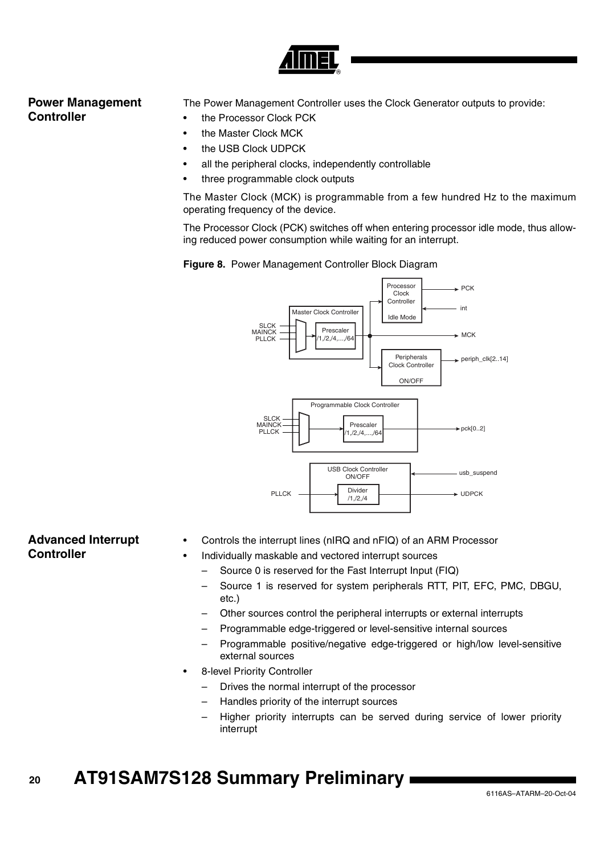

### **Power Management Controller**

The Power Management Controller uses the Clock Generator outputs to provide:

- the Processor Clock PCK
- the Master Clock MCK
- the USB Clock UDPCK
- all the peripheral clocks, independently controllable
- three programmable clock outputs

The Master Clock (MCK) is programmable from a few hundred Hz to the maximum operating frequency of the device.

The Processor Clock (PCK) switches off when entering processor idle mode, thus allowing reduced power consumption while waiting for an interrupt.





### **Advanced Interrupt Controller**

- Controls the interrupt lines (nIRQ and nFIQ) of an ARM Processor
	- Individually maskable and vectored interrupt sources
		- Source 0 is reserved for the Fast Interrupt Input (FIQ)
		- Source 1 is reserved for system peripherals RTT, PIT, EFC, PMC, DBGU, etc.)
		- Other sources control the peripheral interrupts or external interrupts
		- Programmable edge-triggered or level-sensitive internal sources
		- Programmable positive/negative edge-triggered or high/low level-sensitive external sources
- 8-level Priority Controller
	- Drives the normal interrupt of the processor
	- Handles priority of the interrupt sources
	- Higher priority interrupts can be served during service of lower priority interrupt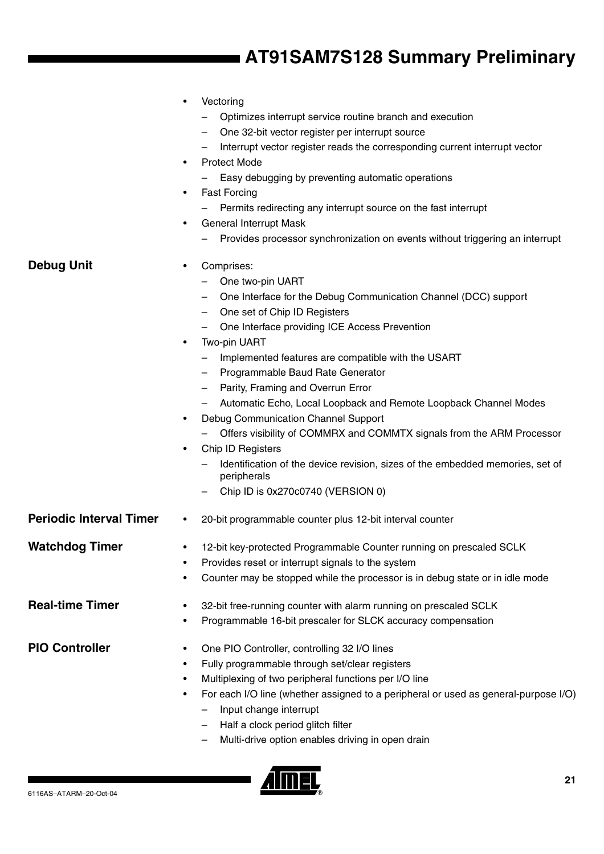| <b>Debug Unit</b>              | Vectoring<br>Optimizes interrupt service routine branch and execution<br>One 32-bit vector register per interrupt source<br>Interrupt vector register reads the corresponding current interrupt vector<br><b>Protect Mode</b><br>$\bullet$<br>Easy debugging by preventing automatic operations<br><b>Fast Forcing</b><br>٠<br>Permits redirecting any interrupt source on the fast interrupt<br><b>General Interrupt Mask</b><br>٠<br>Provides processor synchronization on events without triggering an interrupt<br>Comprises:<br>$\bullet$<br>One two-pin UART<br>One Interface for the Debug Communication Channel (DCC) support<br>One set of Chip ID Registers<br>One Interface providing ICE Access Prevention<br>Two-pin UART<br>٠<br>Implemented features are compatible with the USART<br>Programmable Baud Rate Generator<br>Parity, Framing and Overrun Error<br>$\overline{\phantom{m}}$<br>Automatic Echo, Local Loopback and Remote Loopback Channel Modes<br>Debug Communication Channel Support<br>٠<br>Offers visibility of COMMRX and COMMTX signals from the ARM Processor<br>Chip ID Registers<br>٠<br>Identification of the device revision, sizes of the embedded memories, set of |
|--------------------------------|------------------------------------------------------------------------------------------------------------------------------------------------------------------------------------------------------------------------------------------------------------------------------------------------------------------------------------------------------------------------------------------------------------------------------------------------------------------------------------------------------------------------------------------------------------------------------------------------------------------------------------------------------------------------------------------------------------------------------------------------------------------------------------------------------------------------------------------------------------------------------------------------------------------------------------------------------------------------------------------------------------------------------------------------------------------------------------------------------------------------------------------------------------------------------------------------------------|
|                                | peripherals<br>Chip ID is 0x270c0740 (VERSION 0)                                                                                                                                                                                                                                                                                                                                                                                                                                                                                                                                                                                                                                                                                                                                                                                                                                                                                                                                                                                                                                                                                                                                                           |
| <b>Periodic Interval Timer</b> | 20-bit programmable counter plus 12-bit interval counter<br>$\bullet$                                                                                                                                                                                                                                                                                                                                                                                                                                                                                                                                                                                                                                                                                                                                                                                                                                                                                                                                                                                                                                                                                                                                      |
| Watchdog Timer                 | 12-bit key-protected Programmable Counter running on prescaled SCLK<br>Provides reset or interrupt signals to the system<br>٠<br>Counter may be stopped while the processor is in debug state or in idle mode<br>٠                                                                                                                                                                                                                                                                                                                                                                                                                                                                                                                                                                                                                                                                                                                                                                                                                                                                                                                                                                                         |
| <b>Real-time Timer</b>         | 32-bit free-running counter with alarm running on prescaled SCLK<br>٠<br>Programmable 16-bit prescaler for SLCK accuracy compensation                                                                                                                                                                                                                                                                                                                                                                                                                                                                                                                                                                                                                                                                                                                                                                                                                                                                                                                                                                                                                                                                      |
| <b>PIO Controller</b>          | One PIO Controller, controlling 32 I/O lines<br>٠<br>Fully programmable through set/clear registers<br>٠<br>Multiplexing of two peripheral functions per I/O line<br>٠<br>For each I/O line (whether assigned to a peripheral or used as general-purpose I/O)<br>٠<br>Input change interrupt<br>Half a clock period glitch filter<br>Multi-drive option enables driving in open drain                                                                                                                                                                                                                                                                                                                                                                                                                                                                                                                                                                                                                                                                                                                                                                                                                      |

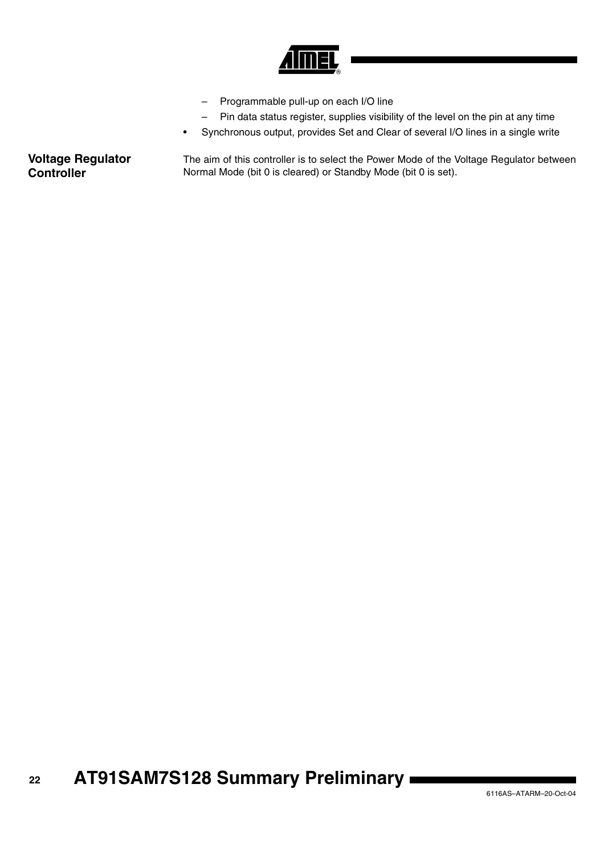

- Programmable pull-up on each I/O line
- Pin data status register, supplies visibility of the level on the pin at any time
- Synchronous output, provides Set and Clear of several I/O lines in a single write

**Voltage Regulator Controller** The aim of this controller is to select the Power Mode of the Voltage Regulator between Normal Mode (bit 0 is cleared) or Standby Mode (bit 0 is set).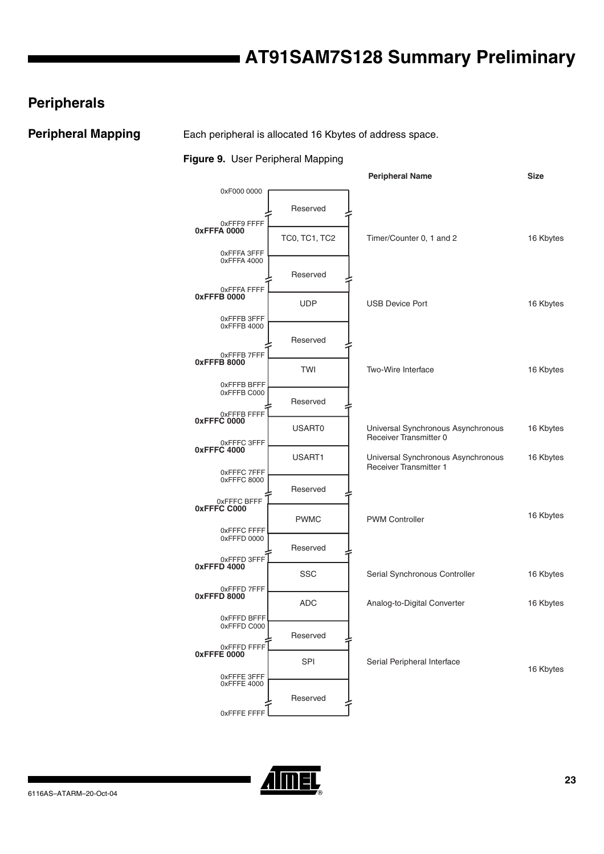### **Peripherals**

**Peripheral Mapping** Each peripheral is allocated 16 Kbytes of address space.

#### **Figure 9.** User Peripheral Mapping



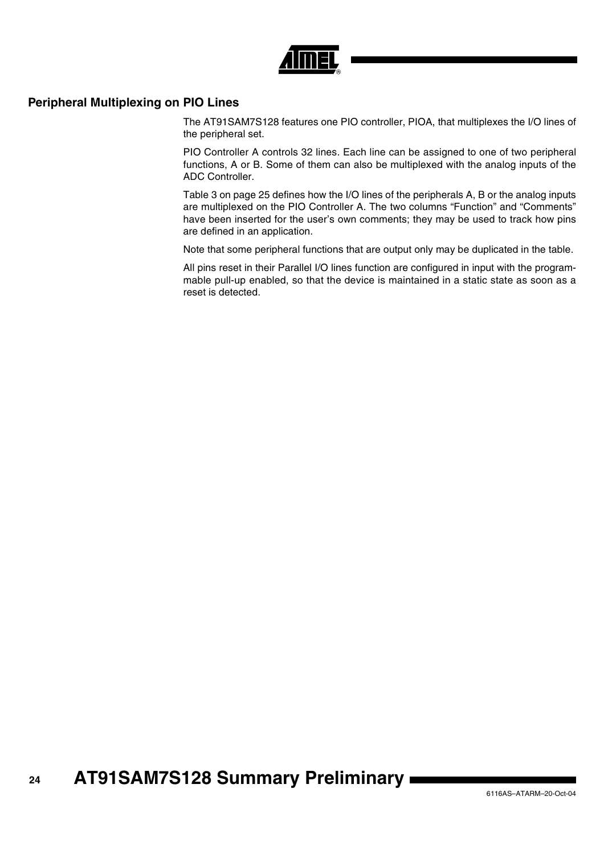

### **Peripheral Multiplexing on PIO Lines**

The AT91SAM7S128 features one PIO controller, PIOA, that multiplexes the I/O lines of the peripheral set.

PIO Controller A controls 32 lines. Each line can be assigned to one of two peripheral functions, A or B. Some of them can also be multiplexed with the analog inputs of the ADC Controller.

[Table 3 on page 25](#page-24-0) defines how the I/O lines of the peripherals A, B or the analog inputs are multiplexed on the PIO Controller A. The two columns "Function" and "Comments" have been inserted for the user's own comments; they may be used to track how pins are defined in an application.

Note that some peripheral functions that are output only may be duplicated in the table.

All pins reset in their Parallel I/O lines function are configured in input with the programmable pull-up enabled, so that the device is maintained in a static state as soon as a reset is detected.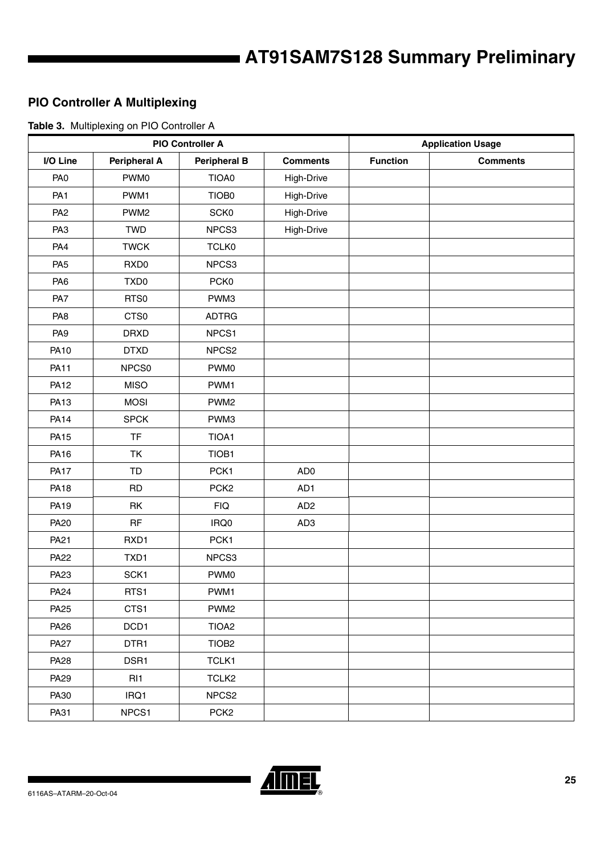### <span id="page-24-0"></span>**PIO Controller A Multiplexing**

**Table 3.** Multiplexing on PIO Controller A

| <b>PIO Controller A</b> |                     |                     | <b>Application Usage</b> |                 |                 |
|-------------------------|---------------------|---------------------|--------------------------|-----------------|-----------------|
| I/O Line                | <b>Peripheral A</b> | <b>Peripheral B</b> | <b>Comments</b>          | <b>Function</b> | <b>Comments</b> |
| PA <sub>0</sub>         | PWM0                | TIOA0               | High-Drive               |                 |                 |
| PA <sub>1</sub>         | PWM1                | TIOB0               | High-Drive               |                 |                 |
| PA <sub>2</sub>         | PWM <sub>2</sub>    | <b>SCK0</b>         | High-Drive               |                 |                 |
| PA <sub>3</sub>         | <b>TWD</b>          | NPCS3               | High-Drive               |                 |                 |
| PA4                     | <b>TWCK</b>         | <b>TCLK0</b>        |                          |                 |                 |
| PA <sub>5</sub>         | RXD <sub>0</sub>    | NPCS3               |                          |                 |                 |
| PA <sub>6</sub>         | TXD <sub>0</sub>    | PCK0                |                          |                 |                 |
| PA7                     | RTS0                | PWM3                |                          |                 |                 |
| PA <sub>8</sub>         | CTS0                | <b>ADTRG</b>        |                          |                 |                 |
| PA <sub>9</sub>         | <b>DRXD</b>         | NPCS1               |                          |                 |                 |
| <b>PA10</b>             | <b>DTXD</b>         | NPCS <sub>2</sub>   |                          |                 |                 |
| <b>PA11</b>             | NPCS0               | PWM0                |                          |                 |                 |
| <b>PA12</b>             | <b>MISO</b>         | PWM1                |                          |                 |                 |
| <b>PA13</b>             | <b>MOSI</b>         | PWM <sub>2</sub>    |                          |                 |                 |
| <b>PA14</b>             | <b>SPCK</b>         | PWM3                |                          |                 |                 |
| <b>PA15</b>             | <b>TF</b>           | TIOA1               |                          |                 |                 |
| <b>PA16</b>             | <b>TK</b>           | TIOB1               |                          |                 |                 |
| <b>PA17</b>             | TD                  | PCK1                | AD <sub>0</sub>          |                 |                 |
| <b>PA18</b>             | <b>RD</b>           | PCK <sub>2</sub>    | AD1                      |                 |                 |
| <b>PA19</b>             | RK                  | FIQ                 | AD <sub>2</sub>          |                 |                 |
| <b>PA20</b>             | RF                  | IRQ0                | AD <sub>3</sub>          |                 |                 |
| PA21                    | RXD1                | PCK1                |                          |                 |                 |
| <b>PA22</b>             | TXD1                | NPCS3               |                          |                 |                 |
| PA23                    | SCK1                | PWM0                |                          |                 |                 |
| <b>PA24</b>             | RTS1                | PWM1                |                          |                 |                 |
| <b>PA25</b>             | CTS1                | PWM <sub>2</sub>    |                          |                 |                 |
| PA26                    | DCD1                | TIOA <sub>2</sub>   |                          |                 |                 |
| <b>PA27</b>             | DTR1                | TIOB <sub>2</sub>   |                          |                 |                 |
| <b>PA28</b>             | DSR1                | TCLK1               |                          |                 |                 |
| <b>PA29</b>             | RI <sub>1</sub>     | TCLK <sub>2</sub>   |                          |                 |                 |
| PA30                    | IRQ1                | NPCS <sub>2</sub>   |                          |                 |                 |
| PA31                    | NPCS1               | PCK <sub>2</sub>    |                          |                 |                 |

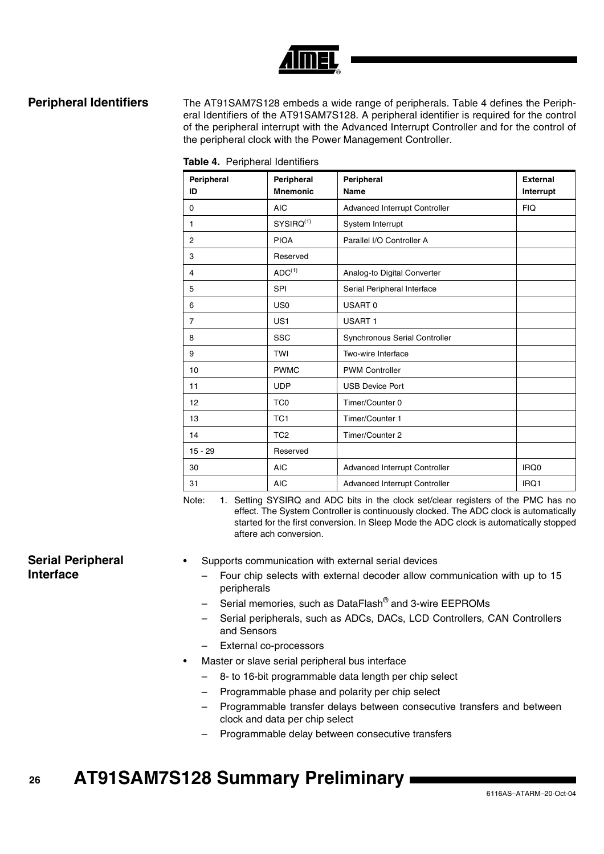

**Peripheral Identifiers** The AT91SAM7S128 embeds a wide range of peripherals. Table 4 defines the Peripheral Identifiers of the AT91SAM7S128. A peripheral identifier is required for the control of the peripheral interrupt with the Advanced Interrupt Controller and for the control of the peripheral clock with the Power Management Controller.

| Peripheral     | Peripheral         | Peripheral                    | <b>External</b> |
|----------------|--------------------|-------------------------------|-----------------|
| ID             | <b>Mnemonic</b>    | <b>Name</b>                   | Interrupt       |
| 0              | <b>AIC</b>         | Advanced Interrupt Controller | <b>FIQ</b>      |
| 1              | $SYSIRQ^{(1)}$     | System Interrupt              |                 |
| $\overline{2}$ | <b>PIOA</b>        | Parallel I/O Controller A     |                 |
| 3              | Reserved           |                               |                 |
| $\overline{4}$ | ADC <sup>(1)</sup> | Analog-to Digital Converter   |                 |
| 5              | <b>SPI</b>         | Serial Peripheral Interface   |                 |
| 6              | US <sub>0</sub>    | USART <sub>0</sub>            |                 |
| $\overline{7}$ | US <sub>1</sub>    | <b>USART1</b>                 |                 |
| 8              | SSC                | Synchronous Serial Controller |                 |
| 9              | <b>TWI</b>         | Two-wire Interface            |                 |
| 10             | <b>PWMC</b>        | <b>PWM Controller</b>         |                 |
| 11             | <b>UDP</b>         | <b>USB Device Port</b>        |                 |
| 12             | TC <sub>0</sub>    | Timer/Counter 0               |                 |
| 13             | TC <sub>1</sub>    | Timer/Counter 1               |                 |
| 14             | TC <sub>2</sub>    | Timer/Counter 2               |                 |
| $15 - 29$      | Reserved           |                               |                 |
| 30             | <b>AIC</b>         | Advanced Interrupt Controller | IRQ0            |
| 31             | <b>AIC</b>         | Advanced Interrupt Controller | IRQ1            |

|  | Table 4. Peripheral Identifiers |  |
|--|---------------------------------|--|
|--|---------------------------------|--|

Note: 1. Setting SYSIRQ and ADC bits in the clock set/clear registers of the PMC has no effect. The System Controller is continuously clocked. The ADC clock is automatically started for the first conversion. In Sleep Mode the ADC clock is automatically stopped aftere ach conversion.

### **Serial Peripheral Interface**

- Supports communication with external serial devices
	- Four chip selects with external decoder allow communication with up to 15 peripherals
	- Serial memories, such as DataFlash® and 3-wire EEPROMs
	- Serial peripherals, such as ADCs, DACs, LCD Controllers, CAN Controllers and Sensors
	- External co-processors
- Master or slave serial peripheral bus interface
	- 8- to 16-bit programmable data length per chip select
	- Programmable phase and polarity per chip select
	- Programmable transfer delays between consecutive transfers and between clock and data per chip select
	- Programmable delay between consecutive transfers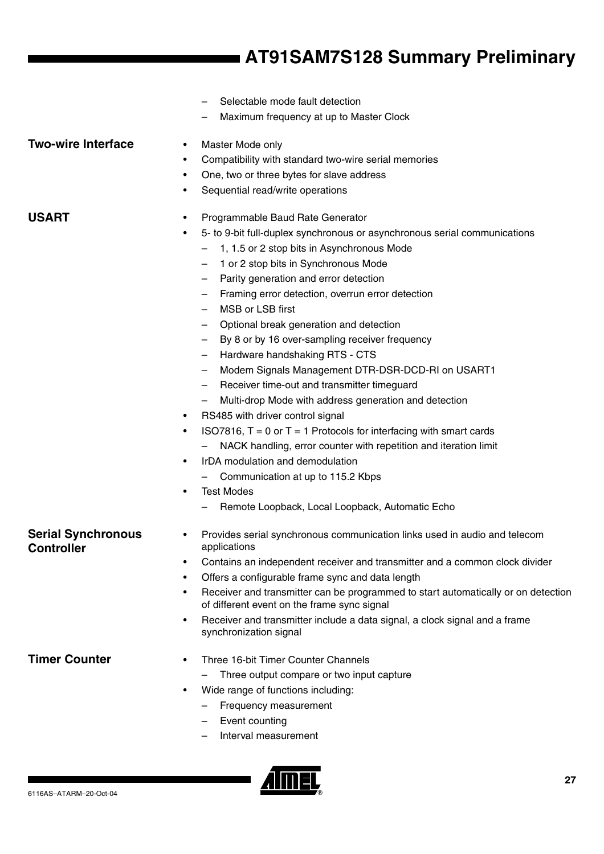- Selectable mode fault detection
- Maximum frequency at up to Master Clock

### **Two-wire Interface** • Master Mode only

- Compatibility with standard two-wire serial memories
- One, two or three bytes for slave address
- Sequential read/write operations

### **USART** • Programmable Baud Rate Generator

- 5- to 9-bit full-duplex synchronous or asynchronous serial communications
	- 1, 1.5 or 2 stop bits in Asynchronous Mode
	- 1 or 2 stop bits in Synchronous Mode
	- Parity generation and error detection
	- Framing error detection, overrun error detection
	- MSB or LSB first
	- Optional break generation and detection
	- By 8 or by 16 over-sampling receiver frequency
	- Hardware handshaking RTS CTS
	- Modem Signals Management DTR-DSR-DCD-RI on USART1
	- Receiver time-out and transmitter timeguard
	- Multi-drop Mode with address generation and detection
- RS485 with driver control signal
- ISO7816,  $T = 0$  or  $T = 1$  Protocols for interfacing with smart cards
	- NACK handling, error counter with repetition and iteration limit
- IrDA modulation and demodulation
	- Communication at up to 115.2 Kbps
- Test Modes
	- Remote Loopback, Local Loopback, Automatic Echo

### **Serial Synchronous Controller**

- Provides serial synchronous communication links used in audio and telecom applications
	- Contains an independent receiver and transmitter and a common clock divider
	- Offers a configurable frame sync and data length
	- Receiver and transmitter can be programmed to start automatically or on detection of different event on the frame sync signal
	- Receiver and transmitter include a data signal, a clock signal and a frame synchronization signal

- **Timer Counter** Three 16-bit Timer Counter Channels
	- Three output compare or two input capture
	- Wide range of functions including:
		- Frequency measurement
		- Event counting
		- Interval measurement

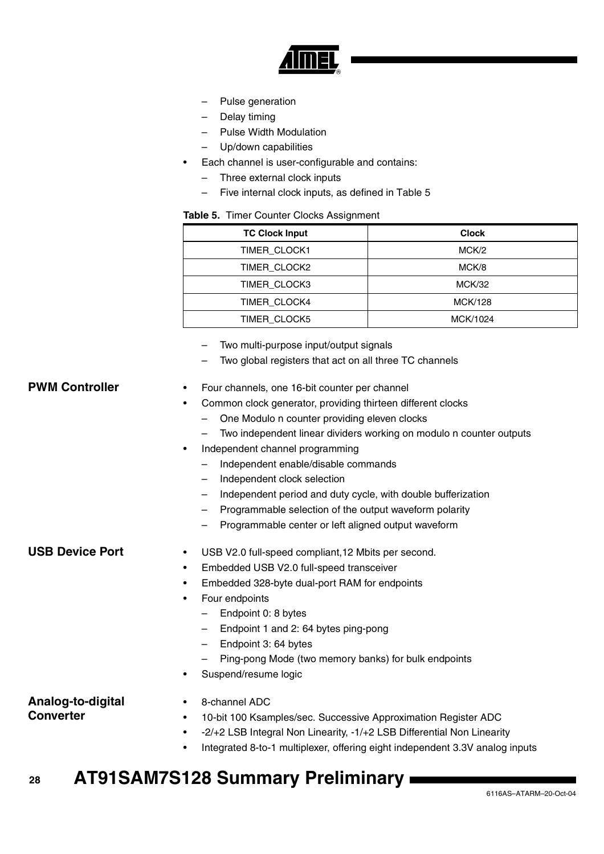

- Pulse generation
- Delay timing
- Pulse Width Modulation
- Up/down capabilities
- Each channel is user-configurable and contains:
	- Three external clock inputs
	- Five internal clock inputs, as defined in Table 5

### **Table 5.** Timer Counter Clocks Assignment

| <b>TC Clock Input</b> | <b>Clock</b>   |
|-----------------------|----------------|
| TIMER CLOCK1          | MCK/2          |
| TIMER CLOCK2          | MCK/8          |
| TIMER CLOCK3          | MCK/32         |
| <b>TIMER CLOCK4</b>   | <b>MCK/128</b> |
| TIMER CLOCK5          | MCK/1024       |

- Two multi-purpose input/output signals
- Two global registers that act on all three TC channels

### **PWM Controller** • Four channels, one 16-bit counter per channel

- Common clock generator, providing thirteen different clocks
	- One Modulo n counter providing eleven clocks
	- Two independent linear dividers working on modulo n counter outputs
- Independent channel programming
	- Independent enable/disable commands
	- Independent clock selection
	- Independent period and duty cycle, with double bufferization
	- Programmable selection of the output waveform polarity
	- Programmable center or left aligned output waveform

- **USB Device Port** USB V2.0 full-speed compliant, 12 Mbits per second.
	- Embedded USB V2.0 full-speed transceiver
	- Embedded 328-byte dual-port RAM for endpoints
	- Four endpoints
		- Endpoint 0: 8 bytes
		- Endpoint 1 and 2: 64 bytes ping-pong
		- Endpoint 3: 64 bytes
		- Ping-pong Mode (two memory banks) for bulk endpoints
	- Suspend/resume logic

### **Analog-to-digital Converter**

- 8-channel ADC
- 10-bit 100 Ksamples/sec. Successive Approximation Register ADC
	- -2/+2 LSB Integral Non Linearity, -1/+2 LSB Differential Non Linearity
- Integrated 8-to-1 multiplexer, offering eight independent 3.3V analog inputs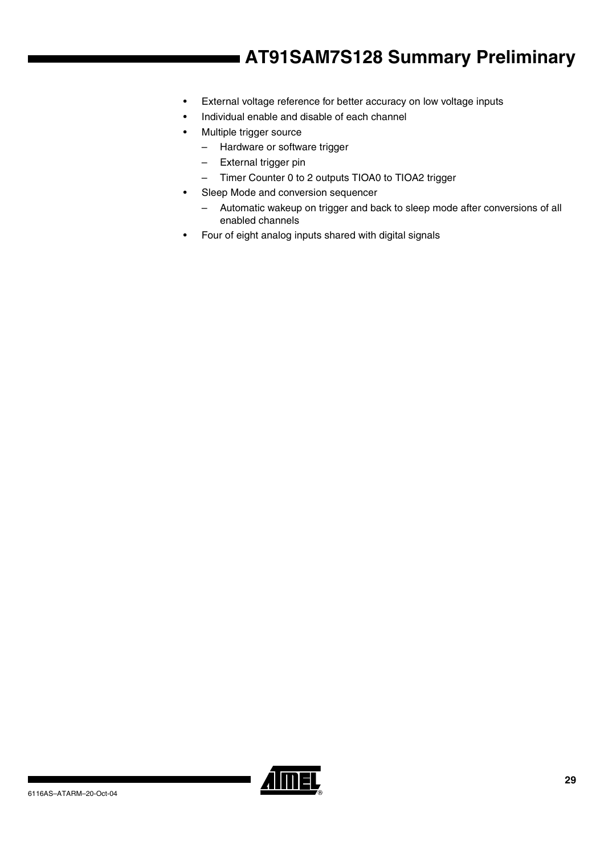- External voltage reference for better accuracy on low voltage inputs
- Individual enable and disable of each channel
- Multiple trigger source
	- Hardware or software trigger
	- External trigger pin
	- Timer Counter 0 to 2 outputs TIOA0 to TIOA2 trigger
- Sleep Mode and conversion sequencer
	- Automatic wakeup on trigger and back to sleep mode after conversions of all enabled channels
- Four of eight analog inputs shared with digital signals

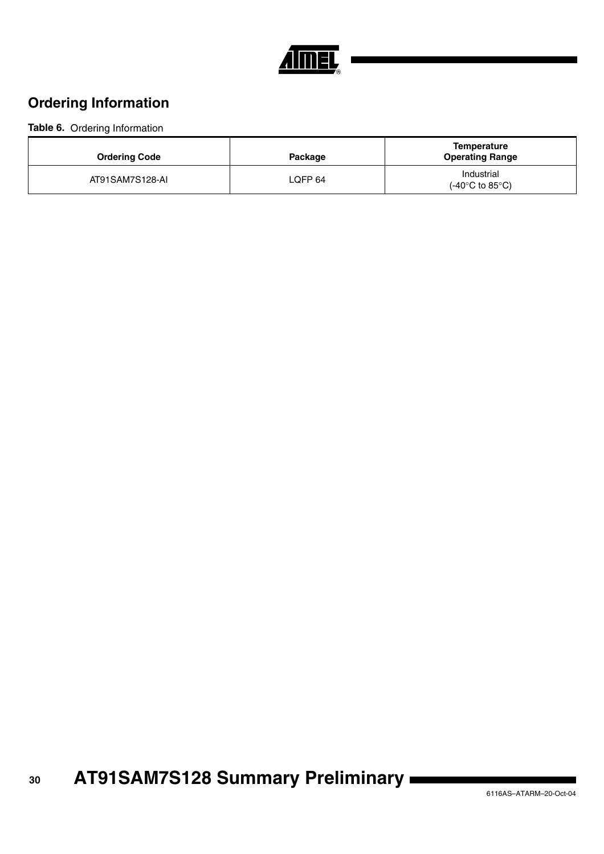

## **Ordering Information**

### **Table 6.** Ordering Information

| <b>Ordering Code</b> | Package            | Temperature<br><b>Operating Range</b>              |
|----------------------|--------------------|----------------------------------------------------|
| AT91SAM7S128-AI      | LOFP <sub>64</sub> | Industrial<br>$(-40^{\circ}$ C to 85 $^{\circ}$ C) |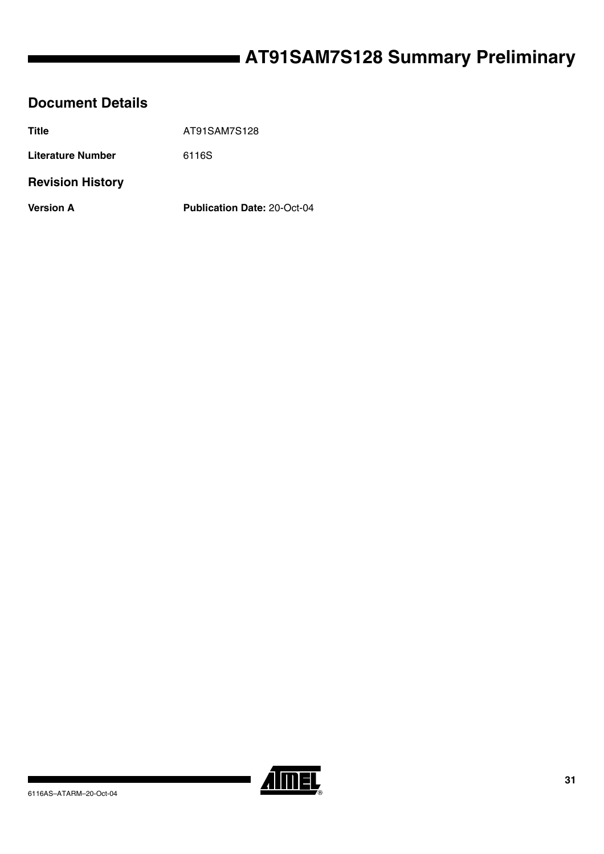### **Document Details**

| <b>Title</b>            | AT91SAM7S128                       |
|-------------------------|------------------------------------|
| Literature Number       | 6116S                              |
| <b>Revision History</b> |                                    |
| <b>Version A</b>        | <b>Publication Date: 20-Oct-04</b> |
|                         |                                    |